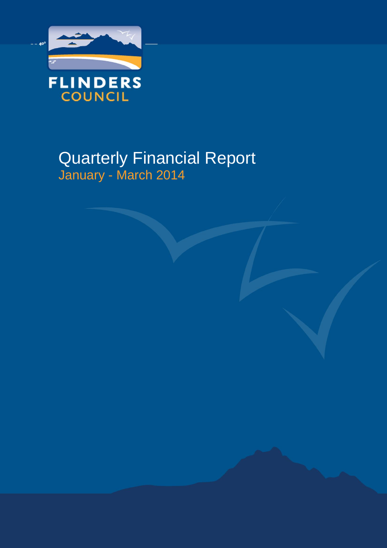

# Quarterly Financial Report January - March 2014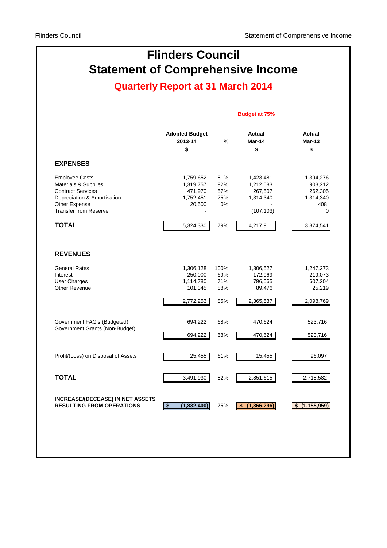# **Statement of Comprehensive Income Flinders Council**

## **Quarterly Report at 31 March 2014**

#### **Budget at 75%**

|                                                                                                                                                           | <b>Adopted Budget</b><br>2013-14<br>\$                   | $\%$                           | Actual<br>Mar-14<br>\$                                       | Actual<br><b>Mar-13</b><br>\$                            |
|-----------------------------------------------------------------------------------------------------------------------------------------------------------|----------------------------------------------------------|--------------------------------|--------------------------------------------------------------|----------------------------------------------------------|
| <b>EXPENSES</b>                                                                                                                                           |                                                          |                                |                                                              |                                                          |
| <b>Employee Costs</b><br>Materials & Supplies<br><b>Contract Services</b><br>Depreciation & Amortisation<br>Other Expense<br><b>Transfer from Reserve</b> | 1,759,652<br>1,319,757<br>471,970<br>1,752,451<br>20,500 | 81%<br>92%<br>57%<br>75%<br>0% | 1,423,481<br>1,212,583<br>267,507<br>1,314,340<br>(107, 103) | 1,394,276<br>903,212<br>262,305<br>1,314,340<br>408<br>0 |
| <b>TOTAL</b>                                                                                                                                              | 5,324,330                                                | 79%                            | 4,217,911                                                    | 3,874,541                                                |
| <b>REVENUES</b>                                                                                                                                           |                                                          |                                |                                                              |                                                          |
| <b>General Rates</b><br>Interest                                                                                                                          | 1,306,128<br>250,000                                     | 100%<br>69%                    | 1,306,527<br>172,969                                         | 1,247,273<br>219,073                                     |
| <b>User Charges</b><br>Other Revenue                                                                                                                      | 1,114,780<br>101,345                                     | 71%<br>88%                     | 796,565<br>89,476                                            | 607,204<br>25,219                                        |
|                                                                                                                                                           | 2,772,253                                                | 85%                            | 2,365,537                                                    | 2,098,769                                                |
| Government FAG's (Budgeted)                                                                                                                               | 694,222                                                  | 68%                            | 470,624                                                      | 523,716                                                  |
| Government Grants (Non-Budget)                                                                                                                            | 694,222                                                  | 68%                            | 470,624                                                      | 523,716                                                  |
| Profit/(Loss) on Disposal of Assets                                                                                                                       | 25,455                                                   | 61%                            | 15,455                                                       | 96,097                                                   |
| <b>TOTAL</b>                                                                                                                                              | 3,491,930                                                | 82%                            | 2,851,615                                                    | 2,718,582                                                |
| <b>INCREASE/(DECEASE) IN NET ASSETS</b><br><b>RESULTING FROM OPERATIONS</b>                                                                               | $\overline{\boldsymbol{\mathsf{s}}}$<br>(1,832,400)      | 75%                            | $\overline{\$}$<br>(1,366,296)                               | (1, 155, 959)<br>\$                                      |
|                                                                                                                                                           |                                                          |                                |                                                              |                                                          |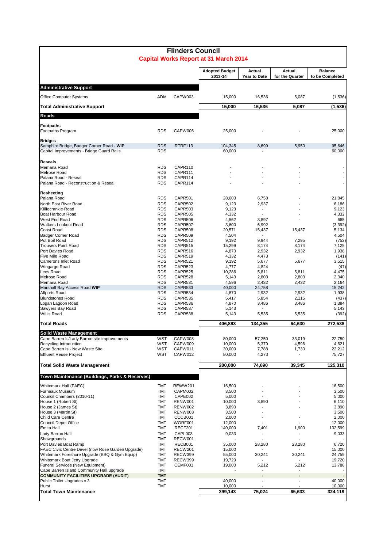| <b>Flinders Council</b><br><b>Capital Works Report at 31 March 2014</b>                |                          |                           |                                  |                        |                           |                                   |  |  |  |  |  |
|----------------------------------------------------------------------------------------|--------------------------|---------------------------|----------------------------------|------------------------|---------------------------|-----------------------------------|--|--|--|--|--|
|                                                                                        |                          |                           | <b>Adopted Budget</b><br>2013-14 | Actual<br>Year to Date | Actual<br>for the Quarter | <b>Balance</b><br>to be Completed |  |  |  |  |  |
| <b>Administrative Support</b>                                                          |                          |                           |                                  |                        |                           |                                   |  |  |  |  |  |
| Office Computer Systems                                                                | <b>ADM</b>               | CAPW003                   | 15,000                           | 16,536                 | 5,087                     | (1,536)                           |  |  |  |  |  |
| <b>Total Administrative Support</b>                                                    |                          |                           | 15,000                           | 16,536                 | 5,087                     | (1, 536)                          |  |  |  |  |  |
| Roads                                                                                  |                          |                           |                                  |                        |                           |                                   |  |  |  |  |  |
| <b>Footpaths</b>                                                                       |                          |                           |                                  |                        |                           |                                   |  |  |  |  |  |
| Footpaths Program                                                                      | <b>RDS</b>               | CAPW006                   | 25,000                           |                        |                           | 25,000                            |  |  |  |  |  |
| <b>Bridges</b>                                                                         |                          |                           |                                  |                        |                           |                                   |  |  |  |  |  |
| Samphire Bridge, Badger Corner Road - WIP<br>Capital Improvements - Bridge Guard Rails | <b>RDS</b><br><b>RDS</b> | RTRF113                   | 104,345<br>60,000                | 8,699                  | 5,950                     | 95,646<br>60,000                  |  |  |  |  |  |
|                                                                                        |                          |                           |                                  |                        |                           |                                   |  |  |  |  |  |
| <b>Reseals</b><br>Memana Road                                                          | <b>RDS</b>               | CAPR110                   |                                  |                        |                           |                                   |  |  |  |  |  |
| Melrose Road                                                                           | <b>RDS</b>               | CAPR111                   |                                  |                        |                           |                                   |  |  |  |  |  |
| Palana Road - Reseal<br>Palana Road - Reconstruction & Reseal                          | <b>RDS</b><br><b>RDS</b> | CAPR114<br>CAPR114        |                                  |                        |                           |                                   |  |  |  |  |  |
|                                                                                        |                          |                           |                                  |                        |                           |                                   |  |  |  |  |  |
| Resheeting<br>Palana Road                                                              | <b>RDS</b>               | CAPR501                   | 28,603                           | 6,758                  |                           | 21,845                            |  |  |  |  |  |
| North East River Road                                                                  | <b>RDS</b>               | CAPR502                   | 9,123                            | 2,937                  |                           | 6,186                             |  |  |  |  |  |
| Killiecrankie Road                                                                     | <b>RDS</b>               | CAPR503                   | 9,123                            | $\blacksquare$         |                           | 9,123                             |  |  |  |  |  |
| Boat Harbour Road<br>West End Road                                                     | <b>RDS</b><br><b>RDS</b> | <b>CAPR505</b><br>CAPR506 | 4,332<br>4,562                   | 3,897                  |                           | 4,332<br>665                      |  |  |  |  |  |
| <b>Walkers Lookout Road</b>                                                            | <b>RDS</b>               | CAPR507                   | 3,600                            | 6,992                  |                           | (3, 392)                          |  |  |  |  |  |
| Coast Road                                                                             | <b>RDS</b>               | CAPR508                   | 20,571                           | 15,437                 | 15,437                    | 5,134                             |  |  |  |  |  |
| <b>Badger Corner Road</b>                                                              | <b>RDS</b><br><b>RDS</b> | CAPR509                   | 4,504                            |                        |                           | 4,504                             |  |  |  |  |  |
| Pot Boil Road<br><b>Trousers Point Road</b>                                            | <b>RDS</b>               | CAPR512<br>CAPR515        | 9,192<br>15,299                  | 9,944<br>8,174         | 7,295<br>8,174            | (752)<br>7,125                    |  |  |  |  |  |
| Port Davies Road                                                                       | <b>RDS</b>               | CAPR516                   | 4,870                            | 2,932                  | 2,932                     | 1,938                             |  |  |  |  |  |
| Five Mile Road                                                                         | <b>RDS</b>               | CAPR519                   | 4,332                            | 4,473                  |                           | (141)                             |  |  |  |  |  |
| Camerons Inlet Road<br>Wingargo Road                                                   | <b>RDS</b><br><b>RDS</b> | CAPR521<br>CAPR523        | 9,192<br>4,777                   | 5,677<br>4,824         | 5,677                     | 3,515<br>(47)                     |  |  |  |  |  |
| Lees Road                                                                              | <b>RDS</b>               | CAPR525                   | 10,286                           | 5,811                  | 5,811                     | 4,475                             |  |  |  |  |  |
| Melrose Road                                                                           | <b>RDS</b>               | CAPR528                   | 5,143                            | 2,803                  | 2,803                     | 2,340                             |  |  |  |  |  |
| Memana Road<br>Marshall Bay Access Road WIP                                            | <b>RDS</b><br><b>RDS</b> | CAPR531<br>CAPR533        | 4,596                            | 2,432<br>24,758        | 2,432                     | 2,164<br>15,242                   |  |  |  |  |  |
| <b>Allports Road</b>                                                                   | <b>RDS</b>               | CAPR534                   | 40,000<br>4,870                  | 2,932                  | 2,932                     | 1,938                             |  |  |  |  |  |
| <b>Blundstones Road</b>                                                                | <b>RDS</b>               | CAPR535                   | 5,417                            | 5,854                  | 2,115                     | (437)                             |  |  |  |  |  |
| Logan Lagoon Road                                                                      | <b>RDS</b>               | CAPR536                   | 4,870                            | 3,486                  | 3,486                     | 1,384                             |  |  |  |  |  |
| Sawyers Bay Road<br>Willis Road                                                        | <b>RDS</b><br><b>RDS</b> | CAPR537<br>CAPR538        | 5,143<br>5,143                   | 5,535                  | 5,535                     | 5,143<br>(392)                    |  |  |  |  |  |
| Total Roads                                                                            |                          |                           | 406,893                          | 134,355                | 64,630                    | 272,538                           |  |  |  |  |  |
| <b>Solid Waste Management</b>                                                          |                          |                           |                                  |                        |                           |                                   |  |  |  |  |  |
| Cape Barren Is/Lady Barron site improvements                                           | WST                      | CAPW008                   | 80,000                           | 57,250                 | 33,019                    | 22,750                            |  |  |  |  |  |
| Recycling Introduction                                                                 | WST                      | CAPW009                   | 10,000                           | 5,379                  | 4,596                     | 4,621                             |  |  |  |  |  |
| Cape Barren Is - New Waste Site<br><b>Effluent Reuse Project</b>                       | WST<br>WST               | CAPW011<br>CAPW012        | 30,000<br>80,000                 | 7,788<br>4,273         | 1,730<br>$\blacksquare$   | 22,212<br>75,727                  |  |  |  |  |  |
|                                                                                        |                          |                           |                                  |                        |                           |                                   |  |  |  |  |  |
| <b>Total Solid Waste Management</b>                                                    |                          |                           | 200,000                          | 74,690                 | 39,345                    | 125,310                           |  |  |  |  |  |
| Town Maintenance (Buildings, Parks & Reserves)                                         |                          |                           |                                  |                        |                           |                                   |  |  |  |  |  |
| Whitemark Hall (FAEC)                                                                  | TMT                      | <b>REWW201</b>            | 16,500                           |                        |                           | 16,500                            |  |  |  |  |  |
| Furneaux Museum<br>Council Chambers (2010-11)                                          | TMT<br><b>TMT</b>        | CAPM002<br>CAPE002        | 3,500<br>5,000                   | $\blacksquare$         |                           | 3,500<br>5,000                    |  |  |  |  |  |
| House 1 (Robert St)                                                                    | TMT                      | RENW001                   | 10,000                           | 3,890                  |                           | 6,110                             |  |  |  |  |  |
| House 2 (James St)                                                                     | <b>TMT</b>               | RENW002                   | 3,890                            |                        |                           | 3,890                             |  |  |  |  |  |
| House 3 (Martin St)                                                                    | <b>TMT</b>               | RENW003                   | 3,500                            |                        |                           | 3,500                             |  |  |  |  |  |
| Child Care Centre<br><b>Council Depot Office</b>                                       | TMT<br>TMT               | CCCB001<br>WORF001        | 2,000<br>12,000                  |                        |                           | 2,000<br>12,000                   |  |  |  |  |  |
| Emita Hall                                                                             | <b>TMT</b>               | RECF201                   | 140,000                          | 7,401                  | 1,900                     | 132,599                           |  |  |  |  |  |
| Lady Barron Hall                                                                       | <b>TMT</b>               | CAPL003                   | 9,033                            |                        |                           | 9,033                             |  |  |  |  |  |
| Showgrounds<br>Port Davies Boat Ramp                                                   | TMT<br>TMT               | RECW001<br>RECB001        | 35,000                           | 28,280                 | 28,280                    | 6,720                             |  |  |  |  |  |
| FAEC Civic Centre Devel (now Rose Garden Upgrade)                                      | <b>TMT</b>               | RECW201                   | 15,000                           |                        |                           | 15,000                            |  |  |  |  |  |
| Whitemark Foreshore Upgrade (BBQ & Gym Equip)                                          | TMT                      | RECW399                   | 55,000                           | 30,241                 | 30,241                    | 24,759                            |  |  |  |  |  |
| Whitemark Boat Jetty Upgrade<br><b>Funeral Services (New Equipment)</b>                | <b>TMT</b><br>TMT        | <b>RECW399</b><br>CEMF001 | 19,720                           |                        |                           | 19,720                            |  |  |  |  |  |
| Cape Barren Island Community Hall upgrade                                              | <b>TMT</b>               |                           | 19,000                           | 5,212                  | 5,212                     | 13,788                            |  |  |  |  |  |
| <b>COMMUNITY FACILITIES UPGRADE (AUDIT)</b>                                            | <b>TMT</b>               |                           |                                  |                        |                           |                                   |  |  |  |  |  |
| Public Toilet Upgrades x 3<br>Hurst                                                    | <b>TMT</b><br><b>TMT</b> |                           | 40,000<br>10,000                 | ۰                      | $\overline{\phantom{a}}$  | 40,000<br>10,000                  |  |  |  |  |  |
| <b>Total Town Maintenance</b>                                                          |                          |                           | 399,143                          | 75,024                 | 65,633                    | 324,119                           |  |  |  |  |  |
|                                                                                        |                          |                           |                                  |                        |                           |                                   |  |  |  |  |  |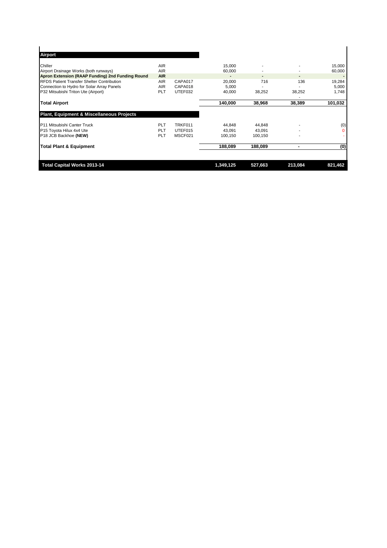| <b>Total Capital Works 2013-14</b>                   |                          |         | 1,349,125        | 527,663 | 213,084 | 821,462          |
|------------------------------------------------------|--------------------------|---------|------------------|---------|---------|------------------|
| <b>Total Plant &amp; Equipment</b>                   |                          |         | 188,089          | 188,089 | ۰       | (0)              |
| P18 JCB Backhoe (NEW)                                | <b>PLT</b>               | MSCF021 | 100,150          | 100,150 |         |                  |
| P15 Toyota Hilux 4x4 Ute                             | <b>PLT</b>               | UTEF015 | 43.091           | 43.091  |         | $\Omega$         |
| P11 Mitsubishi Canter Truck                          | <b>PLT</b>               | TRKF011 | 44,848           | 44,848  |         | (0)              |
| <b>Plant, Equipment &amp; Miscellaneous Projects</b> |                          |         |                  |         |         |                  |
| <b>Total Airport</b>                                 |                          |         | 140,000          | 38,968  | 38,389  | 101,032          |
| P32 Mitsubishi Triton Ute (Airport)                  | <b>PLT</b>               | UTEF032 | 40,000           | 38,252  | 38,252  | 1,748            |
| Connection to Hydro for Solar Array Panels           | <b>AIR</b>               | CAPA018 | 5,000            |         |         | 5,000            |
| <b>RFDS Patient Transfer Shelter Contribution</b>    | <b>AIR</b>               | CAPA017 | 20,000           | 716     | 136     | 19,284           |
| Apron Extension (RAAP Funding) 2nd Funding Round     | <b>AIR</b>               |         |                  |         |         |                  |
| Chiller<br>Airport Drainage Works (both runways)     | <b>AIR</b><br><b>AIR</b> |         | 15,000<br>60,000 |         |         | 15,000<br>60,000 |
| Airport                                              |                          |         |                  |         |         |                  |
|                                                      |                          |         |                  |         |         |                  |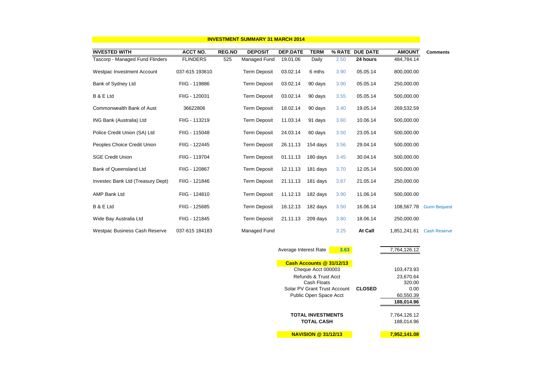| <b>INVESTMENT SUMMARY 31 MARCH 2014</b> |                 |               |                     |                 |             |        |                 |               |                     |  |
|-----------------------------------------|-----------------|---------------|---------------------|-----------------|-------------|--------|-----------------|---------------|---------------------|--|
| <b>INVESTED WITH</b>                    | <b>ACCT NO.</b> | <b>REG.NO</b> | <b>DEPOSIT</b>      | <b>DEP.DATE</b> | <b>TERM</b> | % RATE | <b>DUE DATE</b> | <b>AMOUNT</b> | <b>Comments</b>     |  |
| Tascorp - Managed Fund Flinders         | <b>FLINDERS</b> | 525           | Managed Fund        | 19.01.06        | Daily       | 2.50   | 24 hours        | 484,784.14    |                     |  |
| Westpac Investment Account              | 037-615 193610  |               | <b>Term Deposit</b> | 03.02.14        | 6 mths      | 3.90   | 05.05.14        | 800,000.00    |                     |  |
| Bank of Sydney Ltd                      | FIIG - 119886   |               | <b>Term Deposit</b> | 03.02.14        | 90 days     | 3.90   | 05.05.14        | 250,000.00    |                     |  |
| B & E Ltd                               | FIIG - 120031   |               | <b>Term Deposit</b> | 03.02.14        | 90 days     | 3.55   | 05.05.14        | 500,000.00    |                     |  |
| Commonwealth Bank of Aust               | 36622806        |               | <b>Term Deposit</b> | 18.02.14        | 90 days     | 3.40   | 19.05.14        | 269,532.59    |                     |  |
| ING Bank (Australia) Ltd                | FIIG - 113219   |               | <b>Term Deposit</b> | 11.03.14        | 91 days     | 3.60   | 10.06.14        | 500,000.00    |                     |  |
| Police Credit Union (SA) Ltd            | FIIG - 115048   |               | <b>Term Deposit</b> | 24.03.14        | 60 days     | 3.50   | 23.05.14        | 500,000.00    |                     |  |
| Peoples Choice Credit Union             | FIIG - 122445   |               | <b>Term Deposit</b> | 26.11.13        | 154 days    | 3.56   | 29.04.14        | 500,000.00    |                     |  |
| <b>SGE Credit Union</b>                 | FIIG - 119704   |               | <b>Term Deposit</b> | 01.11.13        | 180 days    | 3.45   | 30.04.14        | 500,000.00    |                     |  |
| <b>Bank of Queensland Ltd</b>           | FIIG - 120867   |               | <b>Term Deposit</b> | 12.11.13        | 181 days    | 3.70   | 12.05.14        | 500,000.00    |                     |  |
| Investec Bank Ltd (Treasury Dept)       | FIIG - 121846   |               | <b>Term Deposit</b> | 21.11.13        | 181 days    | 3.87   | 21.05.14        | 250,000.00    |                     |  |
| <b>AMP Bank Ltd</b>                     | FIIG - 124810   |               | <b>Term Deposit</b> | 11.12.13        | 182 days    | 3.90   | 11.06.14        | 500,000.00    |                     |  |
| B & E Ltd                               | FIIG - 125685   |               | <b>Term Deposit</b> | 16.12.13        | 182 days    | 3.50   | 16.06.14        | 108,567.78    | <b>Gunn Bequest</b> |  |
| Wide Bay Australia Ltd                  | FIIG - 121845   |               | <b>Term Deposit</b> | 21.11.13        | 209 days    | 3.80   | 18.06.14        | 250,000.00    |                     |  |
| Westpac Business Cash Reserve           | 037-615 184183  |               | Managed Fund        |                 |             | 3.25   | At Call         | 1,851,241.61  | <b>Cash Reserve</b> |  |

| Average Interest Rate        | 3.63 |               | 7,764,126.12 |
|------------------------------|------|---------------|--------------|
|                              |      |               |              |
| Cash Accounts @ 31/12/13     |      |               |              |
| Cheque Acct 000003           |      |               | 103,473.93   |
| Refunds & Trust Acct         |      |               | 23,670.64    |
| Cash Floats                  |      |               | 320.00       |
| Solar PV Grant Trust Account |      | <b>CLOSED</b> | 0.00         |
| Public Open Space Acct       |      |               | 60,550.39    |
|                              |      |               | 188.014.96   |
|                              |      |               |              |
| TOTAL INVESTMENTS            |      |               | 7,764,126.12 |
| <b>TOTAL CASH</b>            |      |               | 188,014.96   |
|                              |      |               |              |
| <b>NAVISION @ 31/12/13</b>   |      |               | 7,952,141.08 |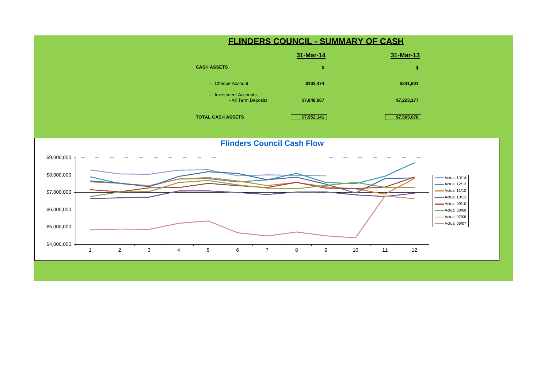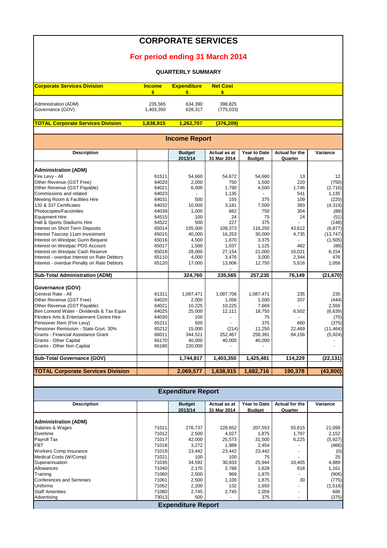#### **CORPORATE SERVICES**

### **For period ending 31 March 2014**

#### **QUARTERLY SUMMARY**

| <b>Corporate Services Division</b> | <b>Income</b> | <b>Expenditure</b> | <b>Net Cost</b> |
|------------------------------------|---------------|--------------------|-----------------|
|                                    |               |                    |                 |
| Administration (ADM)               | 235,565       | 634.390            | 398.825         |
| Governance (GOV)                   | 1.403.350     | 628.317            | (775, 033)      |

**TOTAL Corporate Services Division 1,638,915 1,262,707 (376,209)** 

**Income Report**

| 2013/14<br>31 Mar 2014<br><b>Budget</b><br>Quarter<br>61511<br>54,660<br>54,660<br>54,672<br>13<br>Other Revenue (GST Free)<br>220<br>64020<br>2,000<br>750<br>1,500<br>64021<br>Other Revenue (GST Payable)<br>6,000<br>1,790<br>4,500<br>1,746<br>64023<br>1,135<br>541<br>64031<br>500<br>155<br>375<br>109<br>64032<br>10,000<br>3,181<br>7,500<br>383<br>64039<br>1,000<br>662<br>750<br>304<br>64515<br>100<br>24<br>75<br>24<br>64522<br>500<br>227<br>375<br>65014<br>155,000<br>109,373<br>116,250<br>43,612<br>Interest Tascorp 11am Investment<br>65015<br>40,000<br>16,253<br>30,000<br>4,735<br>65016<br>4,500<br>1,870<br>3,375<br>$\overline{a}$<br>65017<br>1,500<br>1,037<br>1,125<br>482<br>65018<br>28,000<br>21,000<br>16,021<br>27,154<br>65110<br>4,000<br>3,000<br>2,344<br>3,476<br>17,000<br>Interest - overdue Penalty on Rate Debtors<br>65120<br>13,806<br>12,750<br>5,616<br>324,760<br>235,565<br>257,235<br>76,149<br>Governance (GOV)<br>General Rate - All<br>61311<br>1,087,471<br>1,087,706<br>1,087,471<br>235<br>207<br>64020<br>2,000<br>1,056<br>1,500<br>Other Revenue (GST Payable)<br>64021<br>10,225<br>10,225<br>7,669<br>64025<br>25,000<br>12,111<br>18,750<br>6,502<br>64030<br>100<br>75<br>375<br>65211<br>500<br>660<br>65212<br>15,000<br>11,250<br>(214)<br>22,469<br>66011<br>Grants - Financial Assistance Grant<br>344,521<br>252,467<br>258,391<br>84,156<br>66170<br>Grants - Other Capital<br>40,000<br>40,000<br>40,000<br>66180<br>Grants - Other Non Capital<br>220,000<br>1,744,817<br>1,403,350<br>114,229<br>1,425,481 | <b>Description</b> | <b>Budget</b> | Actual as at | Year to Date | <b>Actual for the</b> | Variance  |
|----------------------------------------------------------------------------------------------------------------------------------------------------------------------------------------------------------------------------------------------------------------------------------------------------------------------------------------------------------------------------------------------------------------------------------------------------------------------------------------------------------------------------------------------------------------------------------------------------------------------------------------------------------------------------------------------------------------------------------------------------------------------------------------------------------------------------------------------------------------------------------------------------------------------------------------------------------------------------------------------------------------------------------------------------------------------------------------------------------------------------------------------------------------------------------------------------------------------------------------------------------------------------------------------------------------------------------------------------------------------------------------------------------------------------------------------------------------------------------------------------------------------------------------------------------------------------------------|--------------------|---------------|--------------|--------------|-----------------------|-----------|
| <b>Administration (ADM)</b><br>Fire Levy - All<br>Commissions and related<br>Meeting Room & Facilities Hire<br>132 & 337 Certificates<br>Photocopies/Facsimiles<br><b>Equipment Hire</b><br>Hall & Sports Stadiums Hire<br>Interest on Short Term Deposits<br>Interest on Westpac Gunn Bequest<br>Interest on Westpac POS Account<br>Interest on Westpac Cash Reserve<br>Interest - overdue Interest on Rate Debtors<br><b>Sub-Total Administration (ADM)</b><br>Other Revenue (GST Free)<br>Ben Lomond Water - Dividends & Tax Equiv<br>Flinders Arts & Entertainment Centre Hire<br>Pensioner Rem (Fire Levy)<br>Pensioner Remission - State Govt. 30%<br><b>Sub-Total Governance (GOV)</b>                                                                                                                                                                                                                                                                                                                                                                                                                                                                                                                                                                                                                                                                                                                                                                                                                                                                                          |                    |               |              |              |                       |           |
|                                                                                                                                                                                                                                                                                                                                                                                                                                                                                                                                                                                                                                                                                                                                                                                                                                                                                                                                                                                                                                                                                                                                                                                                                                                                                                                                                                                                                                                                                                                                                                                        |                    |               |              |              |                       |           |
|                                                                                                                                                                                                                                                                                                                                                                                                                                                                                                                                                                                                                                                                                                                                                                                                                                                                                                                                                                                                                                                                                                                                                                                                                                                                                                                                                                                                                                                                                                                                                                                        |                    |               |              |              |                       |           |
|                                                                                                                                                                                                                                                                                                                                                                                                                                                                                                                                                                                                                                                                                                                                                                                                                                                                                                                                                                                                                                                                                                                                                                                                                                                                                                                                                                                                                                                                                                                                                                                        |                    |               |              |              |                       | 12        |
|                                                                                                                                                                                                                                                                                                                                                                                                                                                                                                                                                                                                                                                                                                                                                                                                                                                                                                                                                                                                                                                                                                                                                                                                                                                                                                                                                                                                                                                                                                                                                                                        |                    |               |              |              |                       | (750)     |
|                                                                                                                                                                                                                                                                                                                                                                                                                                                                                                                                                                                                                                                                                                                                                                                                                                                                                                                                                                                                                                                                                                                                                                                                                                                                                                                                                                                                                                                                                                                                                                                        |                    |               |              |              |                       | (2,710)   |
|                                                                                                                                                                                                                                                                                                                                                                                                                                                                                                                                                                                                                                                                                                                                                                                                                                                                                                                                                                                                                                                                                                                                                                                                                                                                                                                                                                                                                                                                                                                                                                                        |                    |               |              |              |                       | 1,135     |
|                                                                                                                                                                                                                                                                                                                                                                                                                                                                                                                                                                                                                                                                                                                                                                                                                                                                                                                                                                                                                                                                                                                                                                                                                                                                                                                                                                                                                                                                                                                                                                                        |                    |               |              |              |                       | (220)     |
|                                                                                                                                                                                                                                                                                                                                                                                                                                                                                                                                                                                                                                                                                                                                                                                                                                                                                                                                                                                                                                                                                                                                                                                                                                                                                                                                                                                                                                                                                                                                                                                        |                    |               |              |              |                       | (4, 319)  |
|                                                                                                                                                                                                                                                                                                                                                                                                                                                                                                                                                                                                                                                                                                                                                                                                                                                                                                                                                                                                                                                                                                                                                                                                                                                                                                                                                                                                                                                                                                                                                                                        |                    |               |              |              |                       | (88)      |
|                                                                                                                                                                                                                                                                                                                                                                                                                                                                                                                                                                                                                                                                                                                                                                                                                                                                                                                                                                                                                                                                                                                                                                                                                                                                                                                                                                                                                                                                                                                                                                                        |                    |               |              |              |                       | (51)      |
|                                                                                                                                                                                                                                                                                                                                                                                                                                                                                                                                                                                                                                                                                                                                                                                                                                                                                                                                                                                                                                                                                                                                                                                                                                                                                                                                                                                                                                                                                                                                                                                        |                    |               |              |              |                       | (148)     |
|                                                                                                                                                                                                                                                                                                                                                                                                                                                                                                                                                                                                                                                                                                                                                                                                                                                                                                                                                                                                                                                                                                                                                                                                                                                                                                                                                                                                                                                                                                                                                                                        |                    |               |              |              |                       | (6, 877)  |
|                                                                                                                                                                                                                                                                                                                                                                                                                                                                                                                                                                                                                                                                                                                                                                                                                                                                                                                                                                                                                                                                                                                                                                                                                                                                                                                                                                                                                                                                                                                                                                                        |                    |               |              |              |                       | (13, 747) |
|                                                                                                                                                                                                                                                                                                                                                                                                                                                                                                                                                                                                                                                                                                                                                                                                                                                                                                                                                                                                                                                                                                                                                                                                                                                                                                                                                                                                                                                                                                                                                                                        |                    |               |              |              |                       | (1,505)   |
|                                                                                                                                                                                                                                                                                                                                                                                                                                                                                                                                                                                                                                                                                                                                                                                                                                                                                                                                                                                                                                                                                                                                                                                                                                                                                                                                                                                                                                                                                                                                                                                        |                    |               |              |              |                       | (88)      |
|                                                                                                                                                                                                                                                                                                                                                                                                                                                                                                                                                                                                                                                                                                                                                                                                                                                                                                                                                                                                                                                                                                                                                                                                                                                                                                                                                                                                                                                                                                                                                                                        |                    |               |              |              |                       | 6,154     |
|                                                                                                                                                                                                                                                                                                                                                                                                                                                                                                                                                                                                                                                                                                                                                                                                                                                                                                                                                                                                                                                                                                                                                                                                                                                                                                                                                                                                                                                                                                                                                                                        |                    |               |              |              |                       | 476       |
|                                                                                                                                                                                                                                                                                                                                                                                                                                                                                                                                                                                                                                                                                                                                                                                                                                                                                                                                                                                                                                                                                                                                                                                                                                                                                                                                                                                                                                                                                                                                                                                        |                    |               |              |              |                       | 1,056     |
|                                                                                                                                                                                                                                                                                                                                                                                                                                                                                                                                                                                                                                                                                                                                                                                                                                                                                                                                                                                                                                                                                                                                                                                                                                                                                                                                                                                                                                                                                                                                                                                        |                    |               |              |              |                       |           |
|                                                                                                                                                                                                                                                                                                                                                                                                                                                                                                                                                                                                                                                                                                                                                                                                                                                                                                                                                                                                                                                                                                                                                                                                                                                                                                                                                                                                                                                                                                                                                                                        |                    |               |              |              |                       | (21, 670) |
|                                                                                                                                                                                                                                                                                                                                                                                                                                                                                                                                                                                                                                                                                                                                                                                                                                                                                                                                                                                                                                                                                                                                                                                                                                                                                                                                                                                                                                                                                                                                                                                        |                    |               |              |              |                       |           |
|                                                                                                                                                                                                                                                                                                                                                                                                                                                                                                                                                                                                                                                                                                                                                                                                                                                                                                                                                                                                                                                                                                                                                                                                                                                                                                                                                                                                                                                                                                                                                                                        |                    |               |              |              |                       |           |
|                                                                                                                                                                                                                                                                                                                                                                                                                                                                                                                                                                                                                                                                                                                                                                                                                                                                                                                                                                                                                                                                                                                                                                                                                                                                                                                                                                                                                                                                                                                                                                                        |                    |               |              |              |                       | 235       |
|                                                                                                                                                                                                                                                                                                                                                                                                                                                                                                                                                                                                                                                                                                                                                                                                                                                                                                                                                                                                                                                                                                                                                                                                                                                                                                                                                                                                                                                                                                                                                                                        |                    |               |              |              |                       | (444)     |
|                                                                                                                                                                                                                                                                                                                                                                                                                                                                                                                                                                                                                                                                                                                                                                                                                                                                                                                                                                                                                                                                                                                                                                                                                                                                                                                                                                                                                                                                                                                                                                                        |                    |               |              |              |                       | 2,556     |
|                                                                                                                                                                                                                                                                                                                                                                                                                                                                                                                                                                                                                                                                                                                                                                                                                                                                                                                                                                                                                                                                                                                                                                                                                                                                                                                                                                                                                                                                                                                                                                                        |                    |               |              |              |                       | (6,639)   |
|                                                                                                                                                                                                                                                                                                                                                                                                                                                                                                                                                                                                                                                                                                                                                                                                                                                                                                                                                                                                                                                                                                                                                                                                                                                                                                                                                                                                                                                                                                                                                                                        |                    |               |              |              |                       | (75)      |
|                                                                                                                                                                                                                                                                                                                                                                                                                                                                                                                                                                                                                                                                                                                                                                                                                                                                                                                                                                                                                                                                                                                                                                                                                                                                                                                                                                                                                                                                                                                                                                                        |                    |               |              |              |                       | (375)     |
|                                                                                                                                                                                                                                                                                                                                                                                                                                                                                                                                                                                                                                                                                                                                                                                                                                                                                                                                                                                                                                                                                                                                                                                                                                                                                                                                                                                                                                                                                                                                                                                        |                    |               |              |              |                       | (11, 464) |
|                                                                                                                                                                                                                                                                                                                                                                                                                                                                                                                                                                                                                                                                                                                                                                                                                                                                                                                                                                                                                                                                                                                                                                                                                                                                                                                                                                                                                                                                                                                                                                                        |                    |               |              |              |                       | (5,924)   |
|                                                                                                                                                                                                                                                                                                                                                                                                                                                                                                                                                                                                                                                                                                                                                                                                                                                                                                                                                                                                                                                                                                                                                                                                                                                                                                                                                                                                                                                                                                                                                                                        |                    |               |              |              |                       |           |
|                                                                                                                                                                                                                                                                                                                                                                                                                                                                                                                                                                                                                                                                                                                                                                                                                                                                                                                                                                                                                                                                                                                                                                                                                                                                                                                                                                                                                                                                                                                                                                                        |                    |               |              |              |                       |           |
|                                                                                                                                                                                                                                                                                                                                                                                                                                                                                                                                                                                                                                                                                                                                                                                                                                                                                                                                                                                                                                                                                                                                                                                                                                                                                                                                                                                                                                                                                                                                                                                        |                    |               |              |              |                       |           |
|                                                                                                                                                                                                                                                                                                                                                                                                                                                                                                                                                                                                                                                                                                                                                                                                                                                                                                                                                                                                                                                                                                                                                                                                                                                                                                                                                                                                                                                                                                                                                                                        |                    |               |              |              |                       | (22, 131) |
| <b>TOTAL Corporate Services Division</b><br>2,069,577<br>1,638,915<br>1,682,716<br>190,378                                                                                                                                                                                                                                                                                                                                                                                                                                                                                                                                                                                                                                                                                                                                                                                                                                                                                                                                                                                                                                                                                                                                                                                                                                                                                                                                                                                                                                                                                             |                    |               |              |              |                       | (43, 800) |

| <b>Expenditure Report</b>     |       |                           |                             |                               |                                  |          |  |  |  |  |  |
|-------------------------------|-------|---------------------------|-----------------------------|-------------------------------|----------------------------------|----------|--|--|--|--|--|
| <b>Description</b>            |       | <b>Budget</b><br>2013/14  | Actual as at<br>31 Mar 2014 | Year to Date<br><b>Budget</b> | <b>Actual for the</b><br>Quarter | Variance |  |  |  |  |  |
| <b>Administration (ADM)</b>   |       |                           |                             |                               |                                  |          |  |  |  |  |  |
| Salaries & Wages              | 71011 | 276.737                   | 228,652                     | 207,553                       | 55,615                           | 21,099   |  |  |  |  |  |
| Overtime                      | 71012 | 2,500                     | 4,027                       | 1,875                         | 1,797                            | 2,152    |  |  |  |  |  |
| Payroll Tax                   | 71017 | 42,000                    | 25,573                      | 31,500                        | 6,225                            | (5,927)  |  |  |  |  |  |
| <b>FBT</b>                    | 71018 | 3,272                     | 1,988                       | 2,454                         |                                  | (466)    |  |  |  |  |  |
| <b>Workers Comp Insurance</b> | 71019 | 23,442                    | 23,442                      | 23,442                        | $\overline{\phantom{0}}$         | (0)      |  |  |  |  |  |
| Medical Costs (W/Comp)        | 71021 | 100                       | 100                         | 75                            |                                  | 25       |  |  |  |  |  |
| Superannuation                | 71035 | 34,592                    | 30,833                      | 25,944                        | 10,405                           | 4,889    |  |  |  |  |  |
| Allowances                    | 71040 | 2.170                     | 2.788                       | 1,628                         | 618                              | 1,161    |  |  |  |  |  |
| Training                      | 71060 | 2,500                     | 969                         | 1,875                         |                                  | (906)    |  |  |  |  |  |
| Conferences and Seminars      | 71061 | 2,500                     | 1,100                       | 1,875                         | 30                               | (775)    |  |  |  |  |  |
| Uniforms                      | 71062 | 2,200                     | 132                         | 1,650                         |                                  | (1, 518) |  |  |  |  |  |
| <b>Staff Amenities</b>        | 71080 | 2,745                     | 2,745                       | 2,059                         | ٠                                | 686      |  |  |  |  |  |
| Advertising                   | 73013 | 500                       |                             | 375                           | ۰                                | (375)    |  |  |  |  |  |
|                               |       | <b>Expenditure Report</b> |                             |                               |                                  |          |  |  |  |  |  |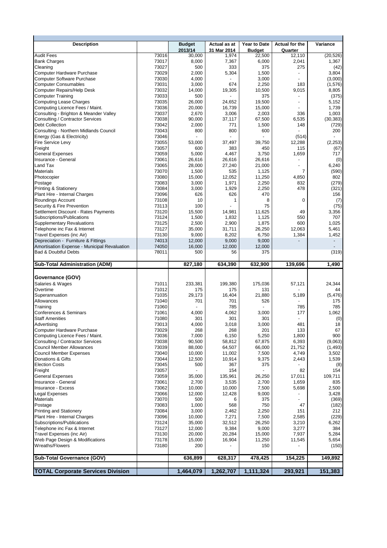|                | <b>Budget</b>                                                                                                                                                                    | Actual as at                                                                                                                                                             | Year to Date                                                                                                                               | Actual for the                                                                                                                                                | Variance                                                                                                                  |
|----------------|----------------------------------------------------------------------------------------------------------------------------------------------------------------------------------|--------------------------------------------------------------------------------------------------------------------------------------------------------------------------|--------------------------------------------------------------------------------------------------------------------------------------------|---------------------------------------------------------------------------------------------------------------------------------------------------------------|---------------------------------------------------------------------------------------------------------------------------|
|                | 2013/14                                                                                                                                                                          | 31 Mar 2014                                                                                                                                                              | <b>Budget</b>                                                                                                                              | Quarter                                                                                                                                                       |                                                                                                                           |
| 73016          | 30,000                                                                                                                                                                           | 1,974                                                                                                                                                                    | 22,500                                                                                                                                     | 12,110                                                                                                                                                        | (20, 526)                                                                                                                 |
|                |                                                                                                                                                                                  |                                                                                                                                                                          |                                                                                                                                            |                                                                                                                                                               | 1,367                                                                                                                     |
|                |                                                                                                                                                                                  |                                                                                                                                                                          |                                                                                                                                            |                                                                                                                                                               | (42)<br>3,804                                                                                                             |
|                |                                                                                                                                                                                  |                                                                                                                                                                          |                                                                                                                                            |                                                                                                                                                               | (3,000)                                                                                                                   |
|                |                                                                                                                                                                                  |                                                                                                                                                                          |                                                                                                                                            |                                                                                                                                                               | (1,576)                                                                                                                   |
|                |                                                                                                                                                                                  |                                                                                                                                                                          |                                                                                                                                            |                                                                                                                                                               | 8,805                                                                                                                     |
| 73033          | 500                                                                                                                                                                              |                                                                                                                                                                          | 375                                                                                                                                        |                                                                                                                                                               | (375)                                                                                                                     |
| 73035          | 26,000                                                                                                                                                                           | 24,652                                                                                                                                                                   | 19,500                                                                                                                                     |                                                                                                                                                               | 5,152                                                                                                                     |
| 73036          | 20,000                                                                                                                                                                           | 16,739                                                                                                                                                                   | 15,000                                                                                                                                     |                                                                                                                                                               | 1,739                                                                                                                     |
|                |                                                                                                                                                                                  |                                                                                                                                                                          |                                                                                                                                            |                                                                                                                                                               | 1,003                                                                                                                     |
|                |                                                                                                                                                                                  |                                                                                                                                                                          |                                                                                                                                            |                                                                                                                                                               | (30, 383)                                                                                                                 |
|                |                                                                                                                                                                                  |                                                                                                                                                                          |                                                                                                                                            |                                                                                                                                                               | (729)                                                                                                                     |
|                |                                                                                                                                                                                  |                                                                                                                                                                          |                                                                                                                                            |                                                                                                                                                               | 200                                                                                                                       |
|                |                                                                                                                                                                                  |                                                                                                                                                                          |                                                                                                                                            |                                                                                                                                                               | (2, 253)                                                                                                                  |
|                |                                                                                                                                                                                  |                                                                                                                                                                          |                                                                                                                                            |                                                                                                                                                               | (67)                                                                                                                      |
| 73059          | 5,000                                                                                                                                                                            | 4,467                                                                                                                                                                    | 3,750                                                                                                                                      | 1,659                                                                                                                                                         | 717                                                                                                                       |
| 73061          | 26,616                                                                                                                                                                           | 26,616                                                                                                                                                                   | 26,616                                                                                                                                     |                                                                                                                                                               | (0)                                                                                                                       |
| 73065          | 28,000                                                                                                                                                                           | 27,240                                                                                                                                                                   | 21,000                                                                                                                                     |                                                                                                                                                               | 6,240                                                                                                                     |
| 73070          | 1,500                                                                                                                                                                            | 535                                                                                                                                                                      | 1,125                                                                                                                                      | 7                                                                                                                                                             | (590)                                                                                                                     |
| 73080          | 15,000                                                                                                                                                                           | 12,052                                                                                                                                                                   | 11,250                                                                                                                                     | 4,850                                                                                                                                                         | 802                                                                                                                       |
| 73083          | 3,000                                                                                                                                                                            | 1,971                                                                                                                                                                    | 2,250                                                                                                                                      | 832                                                                                                                                                           | (279)                                                                                                                     |
| 73084          | 3,000                                                                                                                                                                            | 1,929                                                                                                                                                                    | 2,250                                                                                                                                      | 478                                                                                                                                                           | (321)                                                                                                                     |
|                |                                                                                                                                                                                  |                                                                                                                                                                          |                                                                                                                                            |                                                                                                                                                               | 156                                                                                                                       |
|                |                                                                                                                                                                                  |                                                                                                                                                                          |                                                                                                                                            |                                                                                                                                                               | (7)                                                                                                                       |
|                |                                                                                                                                                                                  |                                                                                                                                                                          |                                                                                                                                            |                                                                                                                                                               | (75)                                                                                                                      |
|                |                                                                                                                                                                                  |                                                                                                                                                                          |                                                                                                                                            |                                                                                                                                                               | 3,356<br>707                                                                                                              |
|                |                                                                                                                                                                                  |                                                                                                                                                                          |                                                                                                                                            |                                                                                                                                                               | 1,025                                                                                                                     |
|                |                                                                                                                                                                                  |                                                                                                                                                                          |                                                                                                                                            |                                                                                                                                                               | 5,461                                                                                                                     |
| 73130          |                                                                                                                                                                                  | 8,202                                                                                                                                                                    | 6,750                                                                                                                                      |                                                                                                                                                               | 1,452                                                                                                                     |
| 74013          | 12,000                                                                                                                                                                           | 9,000                                                                                                                                                                    | 9,000                                                                                                                                      |                                                                                                                                                               | $\overline{\phantom{a}}$                                                                                                  |
| 74050          | 16,000                                                                                                                                                                           | 12,000                                                                                                                                                                   | 12,000                                                                                                                                     |                                                                                                                                                               |                                                                                                                           |
|                |                                                                                                                                                                                  |                                                                                                                                                                          |                                                                                                                                            |                                                                                                                                                               |                                                                                                                           |
| 78011          | 500                                                                                                                                                                              | 56                                                                                                                                                                       | 375                                                                                                                                        |                                                                                                                                                               |                                                                                                                           |
|                |                                                                                                                                                                                  |                                                                                                                                                                          |                                                                                                                                            |                                                                                                                                                               |                                                                                                                           |
|                | 827,180                                                                                                                                                                          | 634,390                                                                                                                                                                  | 632,900                                                                                                                                    | 139,696                                                                                                                                                       | 1,490                                                                                                                     |
|                |                                                                                                                                                                                  |                                                                                                                                                                          |                                                                                                                                            |                                                                                                                                                               |                                                                                                                           |
| 71011          | 233,381                                                                                                                                                                          | 199,380                                                                                                                                                                  | 175,036                                                                                                                                    | 57,121                                                                                                                                                        | 24,344                                                                                                                    |
| 71012          | 175                                                                                                                                                                              | 175                                                                                                                                                                      | 131                                                                                                                                        |                                                                                                                                                               | 44                                                                                                                        |
| 71035          | 29,173                                                                                                                                                                           | 16,404                                                                                                                                                                   | 21,880                                                                                                                                     | 5,189                                                                                                                                                         | (5, 476)                                                                                                                  |
| 71040          | 701                                                                                                                                                                              | 701                                                                                                                                                                      | 526                                                                                                                                        |                                                                                                                                                               | 175                                                                                                                       |
| 71060          |                                                                                                                                                                                  | 785                                                                                                                                                                      |                                                                                                                                            | 785                                                                                                                                                           | 785                                                                                                                       |
| 71061          | 4,000                                                                                                                                                                            | 4,062                                                                                                                                                                    | 3,000                                                                                                                                      | 177                                                                                                                                                           | 1.062                                                                                                                     |
| 71080          | 301                                                                                                                                                                              | 301                                                                                                                                                                      | 301                                                                                                                                        |                                                                                                                                                               |                                                                                                                           |
| 73013          | 4,000                                                                                                                                                                            | 3,018                                                                                                                                                                    | 3,000                                                                                                                                      | 481                                                                                                                                                           | 18                                                                                                                        |
| 73029<br>73036 | 268<br>7,000                                                                                                                                                                     | 268<br>6,150                                                                                                                                                             | 201<br>5,250                                                                                                                               | 133<br>1,800                                                                                                                                                  | 67<br>900                                                                                                                 |
| 73038          | 90,500                                                                                                                                                                           | 58,812                                                                                                                                                                   | 67,875                                                                                                                                     | 6,393                                                                                                                                                         |                                                                                                                           |
| 73039          | 88,000                                                                                                                                                                           | 64,507                                                                                                                                                                   | 66,000                                                                                                                                     | 21,752                                                                                                                                                        |                                                                                                                           |
| 73040          | 10,000                                                                                                                                                                           | 11,002                                                                                                                                                                   | 7,500                                                                                                                                      | 4,749                                                                                                                                                         | 3,502                                                                                                                     |
| 73044          | 12,500                                                                                                                                                                           | 10,914                                                                                                                                                                   | 9,375                                                                                                                                      | 2,443                                                                                                                                                         | 1,539                                                                                                                     |
| 73045          | 500                                                                                                                                                                              | 367                                                                                                                                                                      | 375                                                                                                                                        |                                                                                                                                                               |                                                                                                                           |
| 73057          |                                                                                                                                                                                  | 154                                                                                                                                                                      |                                                                                                                                            | 82                                                                                                                                                            | 154                                                                                                                       |
| 73059          | 35,000                                                                                                                                                                           | 135,961                                                                                                                                                                  | 26,250                                                                                                                                     | 17,011                                                                                                                                                        | 109,711                                                                                                                   |
| 73061          | 2,700                                                                                                                                                                            | 3,535                                                                                                                                                                    | 2,700                                                                                                                                      | 1,659                                                                                                                                                         | 835                                                                                                                       |
| 73062<br>73066 | 10,000                                                                                                                                                                           | 10,000<br>12,428                                                                                                                                                         | 7,500                                                                                                                                      | 5,698                                                                                                                                                         | 2,500                                                                                                                     |
| 73070          | 12,000<br>500                                                                                                                                                                    | 6                                                                                                                                                                        | 9,000<br>375                                                                                                                               |                                                                                                                                                               | 3,428                                                                                                                     |
| 73083          | 1,000                                                                                                                                                                            | 568                                                                                                                                                                      | 750                                                                                                                                        | 47                                                                                                                                                            |                                                                                                                           |
| 73084          | 3,000                                                                                                                                                                            | 2,462                                                                                                                                                                    | 2,250                                                                                                                                      | 151                                                                                                                                                           | 212                                                                                                                       |
| 73096          | 10,000                                                                                                                                                                           | 7,271                                                                                                                                                                    | 7,500                                                                                                                                      | 2,585                                                                                                                                                         | (229)                                                                                                                     |
| 73124          | 35,000                                                                                                                                                                           | 32,512                                                                                                                                                                   | 26,250                                                                                                                                     | 3,210                                                                                                                                                         | 6,262                                                                                                                     |
| 73127          | 12,000                                                                                                                                                                           | 9,384                                                                                                                                                                    | 9,000                                                                                                                                      | 3,277                                                                                                                                                         | 384                                                                                                                       |
| 73130          | 20,000                                                                                                                                                                           | 20,284                                                                                                                                                                   | 15,000                                                                                                                                     | 7,937                                                                                                                                                         | 5,284                                                                                                                     |
| 73178          | 15,000                                                                                                                                                                           | 16,904                                                                                                                                                                   | 11,250                                                                                                                                     | 11,545                                                                                                                                                        | 5,654                                                                                                                     |
| 73180          | 200                                                                                                                                                                              |                                                                                                                                                                          | 150                                                                                                                                        |                                                                                                                                                               | (319)<br>(0)<br>(9,063)<br>(1, 493)<br>(8)<br>(369)<br>(182)<br>(150)                                                     |
|                | 636,899                                                                                                                                                                          | 628,317                                                                                                                                                                  | 478,425                                                                                                                                    | 154,225                                                                                                                                                       | 149,892                                                                                                                   |
|                | 73017<br>73027<br>73029<br>73030<br>73031<br>73032<br>73037<br>73038<br>73042<br>73043<br>73046<br>73055<br>73057<br>73096<br>73108<br>73113<br>73120<br>73124<br>73125<br>73127 | 8,000<br>500<br>2,000<br>4,000<br>3,000<br>14,000<br>2,670<br>90,000<br>2,000<br>800<br>53,000<br>600<br>626<br>10<br>100<br>15,500<br>1,500<br>2,500<br>35,000<br>9,000 | 7,367<br>333<br>5,304<br>674<br>19,305<br>3,006<br>37,117<br>771<br>800<br>37,497<br>383<br>626<br>1<br>14,981<br>1,832<br>2,900<br>31,711 | 6,000<br>375<br>1,500<br>3,000<br>2,250<br>10,500<br>2,003<br>67,500<br>1,500<br>600<br>39,750<br>450<br>470<br>8<br>75<br>11,625<br>1,125<br>1,875<br>26,250 | 2,041<br>275<br>183<br>9,015<br>336<br>6,535<br>148<br>(514)<br>12,288<br>115<br>0<br>49<br>550<br>600<br>12,063<br>1,384 |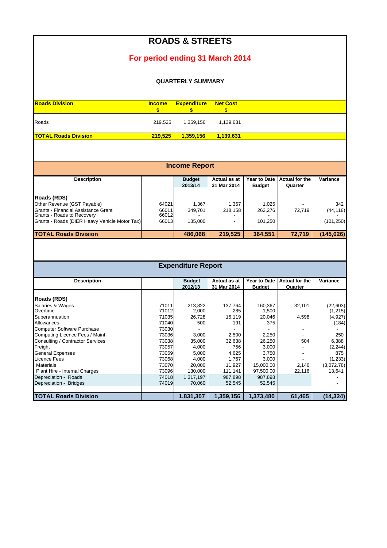|                                                                                                  |                         | <b>ROADS &amp; STREETS</b> |                                 |                               |                                  |                  |  |  |  |  |  |
|--------------------------------------------------------------------------------------------------|-------------------------|----------------------------|---------------------------------|-------------------------------|----------------------------------|------------------|--|--|--|--|--|
|                                                                                                  |                         |                            | For period ending 31 March 2014 |                               |                                  |                  |  |  |  |  |  |
| <b>QUARTERLY SUMMARY</b>                                                                         |                         |                            |                                 |                               |                                  |                  |  |  |  |  |  |
| <b>Roads Division</b>                                                                            | <b>Income</b><br>\$     | <b>Expenditure</b><br>\$   | <b>Net Cost</b><br>\$           |                               |                                  |                  |  |  |  |  |  |
| Roads                                                                                            | 219,525                 | 1,359,156                  | 1,139,631                       |                               |                                  |                  |  |  |  |  |  |
| <b>TOTAL Roads Division</b>                                                                      | 219,525                 | 1,359,156                  | 1,139,631                       |                               |                                  |                  |  |  |  |  |  |
|                                                                                                  |                         | <b>Income Report</b>       |                                 |                               |                                  |                  |  |  |  |  |  |
| <b>Description</b>                                                                               |                         | <b>Budget</b><br>2013/14   | Actual as at<br>31 Mar 2014     | Year to Date<br><b>Budget</b> | <b>Actual for the</b><br>Quarter | Variance         |  |  |  |  |  |
| Roads (RDS)                                                                                      |                         |                            |                                 |                               |                                  |                  |  |  |  |  |  |
| Other Revenue (GST Payable)<br>Grants - Financial Assistance Grant<br>Grants - Roads to Recovery | 64021<br>66011<br>66012 | 1,367<br>349,701           | 1,367<br>218,158                | 1,025<br>262,276              | 72,719                           | 342<br>(44, 118) |  |  |  |  |  |
| Grants - Roads (DIER Heavy Vehicle Motor Tax)                                                    | 66013                   | 135,000                    |                                 | 101,250                       |                                  | (101, 250)       |  |  |  |  |  |

### **TOTAL Roads Division 19 210 210 210 486,068** 219,525 364,551 272,719 (145,026)

| <b>Expenditure Report</b> |
|---------------------------|
|---------------------------|

| <b>Description</b>                |       | <b>Budget</b> | Actual as at | <b>Year to Date</b> | Actual for the | Variance   |
|-----------------------------------|-------|---------------|--------------|---------------------|----------------|------------|
|                                   |       |               |              |                     |                |            |
|                                   |       | 2012/13       | 31 Mar 2014  | <b>Budget</b>       | Quarter        |            |
| Roads (RDS)                       |       |               |              |                     |                |            |
| Salaries & Wages                  | 71011 | 213,822       | 137,764      | 160,367             | 32,101         | (22, 603)  |
| Overtime                          | 71012 | 2,000         | 285          | 1,500               |                | (1, 215)   |
| Superannuation                    | 71035 | 26,728        | 15,119       | 20,046              | 4,598          | (4,927)    |
| Allowances                        | 71040 | 500           | 191          | 375                 |                | (184)      |
| <b>Computer Software Purchase</b> | 73030 |               |              |                     | ۰              |            |
| Computing Licence Fees / Maint.   | 73036 | 3,000         | 2,500        | 2,250               | ۰              | 250        |
| Consulting / Contractor Services  | 73038 | 35,000        | 32,638       | 26,250              | 504            | 6,388      |
| Freight                           | 73057 | 4,000         | 756          | 3,000               |                | (2, 244)   |
| <b>General Expenses</b>           | 73059 | 5,000         | 4,625        | 3,750               | ٠              | 875        |
| Licence Fees                      | 73068 | 4,000         | 1,767        | 3,000               |                | (1,233)    |
| <b>Materials</b>                  | 73070 | 20,000        | 11,927       | 15,000.00           | 2,146          | (3,072.78) |
| Plant Hire - Internal Charges     | 73096 | 130,000       | 111,141      | 97,500.00           | 22,116         | 13,641     |
| Depreciation - Roads              | 74018 | 1,317,197     | 987,898      | 987,898             |                |            |
| Depreciation - Bridges            | 74019 | 70,060        | 52,545       | 52,545              |                |            |
|                                   |       |               |              |                     |                |            |
| <b>TOTAL Roads Division</b>       |       | 1,831,307     | 1,359,156    | 1.373.480           | 61.465         | (14,324)   |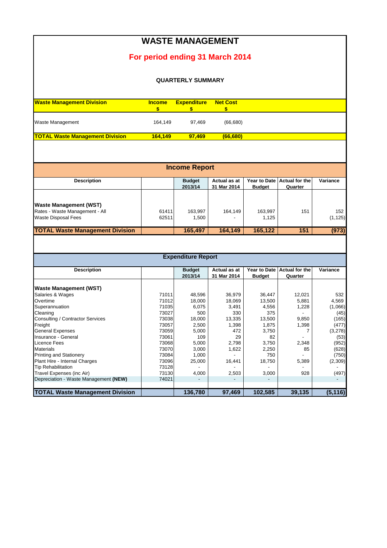| <b>WASTE MANAGEMENT</b>                |                     |                           |                       |               |                       |          |  |  |  |  |  |
|----------------------------------------|---------------------|---------------------------|-----------------------|---------------|-----------------------|----------|--|--|--|--|--|
|                                        |                     |                           |                       |               |                       |          |  |  |  |  |  |
| For period ending 31 March 2014        |                     |                           |                       |               |                       |          |  |  |  |  |  |
| <b>QUARTERLY SUMMARY</b>               |                     |                           |                       |               |                       |          |  |  |  |  |  |
|                                        |                     |                           |                       |               |                       |          |  |  |  |  |  |
| <b>Waste Management Division</b>       | <b>Income</b><br>\$ | <b>Expenditure</b><br>\$  | <b>Net Cost</b><br>\$ |               |                       |          |  |  |  |  |  |
| Waste Management                       | 164,149             | 97,469                    | (66, 680)             |               |                       |          |  |  |  |  |  |
| <b>TOTAL Waste Management Division</b> | 164,149             | 97,469                    | (66,680)              |               |                       |          |  |  |  |  |  |
|                                        |                     |                           |                       |               |                       |          |  |  |  |  |  |
|                                        |                     |                           |                       |               |                       |          |  |  |  |  |  |
|                                        |                     | <b>Income Report</b>      |                       |               |                       |          |  |  |  |  |  |
| <b>Description</b>                     |                     | <b>Budget</b>             | Actual as at          | Year to Date  | <b>Actual for the</b> | Variance |  |  |  |  |  |
|                                        |                     | 2013/14                   | 31 Mar 2014           | <b>Budget</b> | Quarter               |          |  |  |  |  |  |
|                                        |                     |                           |                       |               |                       |          |  |  |  |  |  |
| <b>Waste Management (WST)</b>          |                     |                           |                       |               |                       |          |  |  |  |  |  |
| Rates - Waste Management - All         | 61411               | 163,997                   | 164,149               | 163,997       | 151                   | 152      |  |  |  |  |  |
| <b>Waste Disposal Fees</b>             | 62511               | 1,500                     |                       | 1,125         |                       | (1, 125) |  |  |  |  |  |
| <b>TOTAL Waste Management Division</b> |                     | 165,497                   | 164,149               | 165,122       | 151                   | (973)    |  |  |  |  |  |
|                                        |                     |                           |                       |               |                       |          |  |  |  |  |  |
|                                        |                     |                           |                       |               |                       |          |  |  |  |  |  |
|                                        |                     | <b>Expenditure Report</b> |                       |               |                       |          |  |  |  |  |  |
| <b>Description</b>                     |                     | <b>Budget</b>             | Actual as at          | Year to Date  | <b>Actual for the</b> | Variance |  |  |  |  |  |
|                                        |                     | 2013/14                   | 31 Mar 2014           | <b>Budget</b> | Quarter               |          |  |  |  |  |  |
| <b>Waste Management (WST)</b>          |                     |                           |                       |               |                       |          |  |  |  |  |  |
| Salaries & Wages                       | 71011               | 48,596                    | 36,979                | 36,447        | 12,021                | 532      |  |  |  |  |  |
| Overtime                               | 71012               | 18,000                    | 18,069                | 13,500        | 5,881                 | 4,569    |  |  |  |  |  |
| Superannuation                         | 71035               | 6,075                     | 3,491                 | 4,556         | 1,228                 | (1,066)  |  |  |  |  |  |
| Cleaning                               | 73027               | 500                       | 330                   | 375           |                       | (45)     |  |  |  |  |  |
| Consulting / Contractor Services       | 73038               | 18,000                    | 13,335                | 13,500        | 9,850                 | (165)    |  |  |  |  |  |
| Freight                                | 73057               | 2,500                     | 1,398                 | 1,875         | 1,398                 | (477)    |  |  |  |  |  |
| <b>General Expenses</b>                | 73059               | 5,000                     | 472                   | 3,750         | 7                     | (3,278)  |  |  |  |  |  |
| Insurance - General                    | 73061               | 109                       | 29                    | 82            |                       | (53)     |  |  |  |  |  |
| Licence Fees                           | 73068               | 5,000                     | 2,798                 | 3,750         | 2,348                 | (952)    |  |  |  |  |  |
| <b>Materials</b>                       | 73070               | 3,000                     | 1,622                 | 2,250         | 85                    | (628)    |  |  |  |  |  |
| <b>Printing and Stationery</b>         | 73084               | 1,000                     |                       | 750           |                       | (750)    |  |  |  |  |  |
| Plant Hire - Internal Charges          | 73096               | 25,000                    | 16,441                | 18,750        | 5,389                 | (2,309)  |  |  |  |  |  |
| <b>Tip Rehabilitation</b>              | 73128               |                           |                       |               |                       |          |  |  |  |  |  |
| Travel Expenses (inc Air)              | 73130               | 4,000                     | 2,503                 | 3,000         | 928                   | (497)    |  |  |  |  |  |
| Depreciation - Waste Management (NEW)  | 74021               |                           |                       |               |                       |          |  |  |  |  |  |
|                                        |                     |                           |                       |               |                       |          |  |  |  |  |  |
| <b>TOTAL Waste Management Division</b> |                     | 136,780                   | 97,469                | 102,585       | 39,135                | (5, 116) |  |  |  |  |  |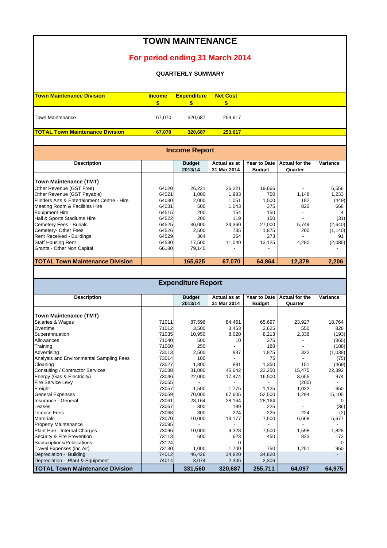# **Town Maintenance Division Income Expenditure Net Cost \$ \$ \$** Town Maintenance **67,070** 320,687 253,617 **TOTAL Town Maintenance Division 67,070 320,687 253,617 TOWN MAINTENANCE For period ending 31 March 2014 QUARTERLY SUMMARY**

| <b>Income Report</b>                        |       |               |              |               |                       |          |  |  |  |
|---------------------------------------------|-------|---------------|--------------|---------------|-----------------------|----------|--|--|--|
| <b>Description</b>                          |       | <b>Budget</b> | Actual as at | Year to Date  | <b>Actual for the</b> | Variance |  |  |  |
|                                             |       | 2013/14       | 31 Mar 2014  | <b>Budget</b> | Quarter               |          |  |  |  |
| <b>Town Maintenance (TMT)</b>               |       |               |              |               |                       |          |  |  |  |
| Other Revenue (GST Free)                    | 64020 | 26,221        | 26,221       | 19,666        |                       | 6,556    |  |  |  |
| Other Revenue (GST Payable)                 | 64021 | 1,000         | 1,983        | 750           | 1,148                 | 1,233    |  |  |  |
| Flinders Arts & Entertainment Centre - Hire | 64030 | 2,000         | 1,051        | 1,500         | 182                   | (449)    |  |  |  |
| Meeting Room & Facilities Hire              | 64031 | 500           | 1,043        | 375           | 820                   | 668      |  |  |  |
| <b>Equipment Hire</b>                       | 64515 | 200           | 154          | 150           |                       |          |  |  |  |
| Hall & Sports Stadiums Hire                 | 64522 | 200           | 119          | 150           |                       | (31)     |  |  |  |
| <b>Cemetery Fees - Burials</b>              | 64525 | 36,000        | 24,360       | 27,000        | 5,749                 | (2,640)  |  |  |  |
| Cemetery- Other Fees                        | 64526 | 2,500         | 735          | 1.875         | 200                   | (1, 140) |  |  |  |
| Rent Received - Buildings                   | 64529 | 364           | 364          | 273           |                       | 91       |  |  |  |
| <b>Staff Housing Rent</b>                   | 64530 | 17,500        | 11,040       | 13,125        | 4,280                 | (2,085)  |  |  |  |
| Grants - Other Non Capital                  | 66180 | 79,140        |              |               |                       |          |  |  |  |
| <b>TOTAL Town Maintenance Division</b>      |       | 165,625       | 67,070       | 64.864        | 12,379                | 2,206    |  |  |  |

| <b>Expenditure Report</b>                |       |               |              |                     |                       |          |  |  |  |  |
|------------------------------------------|-------|---------------|--------------|---------------------|-----------------------|----------|--|--|--|--|
| <b>Description</b>                       |       | <b>Budget</b> | Actual as at | <b>Year to Date</b> | <b>Actual for the</b> | Variance |  |  |  |  |
|                                          |       | 2013/14       | 31 Mar 2014  | <b>Budget</b>       | Quarter               |          |  |  |  |  |
| <b>Town Maintenance (TMT)</b>            |       |               |              |                     |                       |          |  |  |  |  |
| Salaries & Wages                         | 71011 | 87,596        | 84,461       | 65,697              | 23,927                | 18,764   |  |  |  |  |
| Overtime                                 | 71012 | 3,500         | 3,453        | 2,625               | 550                   | 828      |  |  |  |  |
| Superannuation                           | 71035 | 10,950        | 8,020        | 8,213               | 2,338                 | (193)    |  |  |  |  |
| Allowances                               | 71040 | 500           | 10           | 375                 |                       | (365)    |  |  |  |  |
| Training                                 | 71060 | 250           |              | 188                 |                       | (188)    |  |  |  |  |
| Advertising                              | 73013 | 2,500         | 837          | 1,875               | 322                   | (1,038)  |  |  |  |  |
| Analysis and Environmental Sampling Fees | 73014 | 100           |              | 75                  |                       | (75)     |  |  |  |  |
| Cleaning                                 | 73027 | 1,800         | 881          | 1,350               | 151                   | (469)    |  |  |  |  |
| Consulting / Contractor Services         | 73038 | 31,000        | 45,642       | 23,250              | 15,475                | 22,392   |  |  |  |  |
| Energy (Gas & Electricity)               | 73046 | 22,000        | 17,474       | 16,500              | 8,655                 | 974      |  |  |  |  |
| <b>Fire Service Levy</b>                 | 73055 |               |              |                     | (200)                 |          |  |  |  |  |
| Freight                                  | 73057 | 1,500         | 1.775        | 1,125               | 1,022                 | 650      |  |  |  |  |
| <b>General Expenses</b>                  | 73059 | 70,000        | 67,605       | 52,500              | 1,294                 | 15,105   |  |  |  |  |
| Insurance - General                      | 73061 | 28,164        | 28,164       | 28,164              |                       | 0        |  |  |  |  |
| Leases                                   | 73067 | 300           | 189          | 225                 |                       | (36)     |  |  |  |  |
| <b>Licence Fees</b>                      | 73068 | 300           | 224          | 225                 | 224                   | (2)      |  |  |  |  |
| <b>Materials</b>                         | 73070 | 10,000        | 13,177       | 7,500               | 6,668                 | 5,677    |  |  |  |  |
| <b>Property Maintenance</b>              | 73095 |               |              |                     |                       |          |  |  |  |  |
| Plant Hire - Internal Charges            | 73096 | 10,000        | 9,328        | 7,500               | 1,598                 | 1,828    |  |  |  |  |
| Security & Fire Prevention               | 73113 | 600           | 623          | 450                 | 823                   | 173      |  |  |  |  |
| Subscriptions/Publications               | 73124 |               | $\Omega$     |                     |                       | $\Omega$ |  |  |  |  |
| Travel Expenses (inc Air)                | 73130 | 1,000         | 1,700        | 750                 | 1,251                 | 950      |  |  |  |  |
| Depreciation - Building                  | 74012 | 46,426        | 34,820       | 34,820              |                       |          |  |  |  |  |
| Depreciation - Plant & Equipment         | 74014 | 3,074         | 2,306        | 2,306               |                       |          |  |  |  |  |
| <b>TOTAL Town Maintenance Division</b>   |       | 331,560       | 320,687      | 255,711             | 64,097                | 64,975   |  |  |  |  |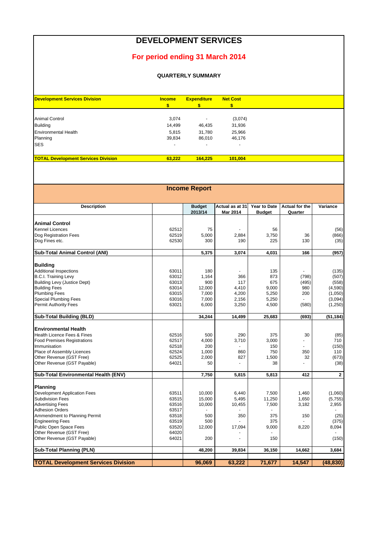#### **DEVELOPMENT SERVICES**

#### **For period ending 31 March 2014**

#### **QUARTERLY SUMMARY**

| <b>Development Services Division</b>       | <b>Income</b>            | <b>Expenditure</b> | <b>Net Cost</b> |
|--------------------------------------------|--------------------------|--------------------|-----------------|
|                                            |                          |                    |                 |
| Animal Control                             | 3,074                    |                    | (3,074)         |
| <b>Building</b>                            | 14,499                   | 46,435             | 31,936          |
| <b>Environmental Health</b>                | 5.815                    | 31,780             | 25,966          |
| Planning                                   | 39,834                   | 86,010             | 46,176          |
| <b>SES</b>                                 | $\overline{\phantom{0}}$ |                    |                 |
| <b>TOTAL Development Services Division</b> | 63.222                   | 164.225            | 101.004         |

| <b>Income Report</b>                       |       |               |                 |               |                |             |  |  |  |  |
|--------------------------------------------|-------|---------------|-----------------|---------------|----------------|-------------|--|--|--|--|
|                                            |       |               |                 |               |                |             |  |  |  |  |
|                                            |       |               |                 |               |                |             |  |  |  |  |
| <b>Description</b>                         |       | <b>Budget</b> | Actual as at 31 | Year to Date  | Actual for the | Variance    |  |  |  |  |
|                                            |       | 2013/14       | <b>Mar 2014</b> | <b>Budget</b> | Quarter        |             |  |  |  |  |
| <b>Animal Control</b>                      |       |               |                 |               |                |             |  |  |  |  |
| Kennel Licences                            | 62512 | 75            |                 | 56            |                | (56)        |  |  |  |  |
| Dog Registration Fees                      | 62519 | 5,000         | 2.884           | 3,750         | 36             | (866)       |  |  |  |  |
| Dog Fines etc.                             | 62530 | 300           | 190             | 225           | 130            | (35)        |  |  |  |  |
|                                            |       |               |                 |               |                |             |  |  |  |  |
| Sub-Total Animal Control (ANI)             |       | 5,375         | 3,074           | 4,031         | 166            | (957)       |  |  |  |  |
|                                            |       |               |                 |               |                |             |  |  |  |  |
| Building                                   |       |               |                 |               |                |             |  |  |  |  |
| <b>Additional Inspections</b>              | 63011 | 180           |                 | 135           |                | (135)       |  |  |  |  |
| <b>B.C.I. Training Levy</b>                | 63012 | 1.164         | 366             | 873           | (798)          | (507)       |  |  |  |  |
| <b>Building Levy (Justice Dept)</b>        | 63013 | 900           | 117             | 675           | (495)          | (558)       |  |  |  |  |
| <b>Building Fees</b>                       | 63014 | 12.000        | 4.410           | 9,000         | 980            | (4,590)     |  |  |  |  |
| <b>Plumbing Fees</b>                       | 63015 | 7,000         | 4,200           | 5,250         | 200            | (1,050)     |  |  |  |  |
| <b>Special Plumbing Fees</b>               | 63016 | 7,000         | 2,156           | 5,250         |                | (3,094)     |  |  |  |  |
| Permit Authority Fees                      | 63021 | 6,000         | 3,250           | 4,500         | (580)          | (1,250)     |  |  |  |  |
|                                            |       |               |                 |               |                |             |  |  |  |  |
| Sub-Total Building (BLD)                   |       | 34,244        | 14,499          | 25,683        | (693)          | (51, 184)   |  |  |  |  |
| Environmental Health                       |       |               |                 |               |                |             |  |  |  |  |
| Health Licence Fees & Fines                | 62516 | 500           | 290             | 375           | 30             | (85)        |  |  |  |  |
| <b>Food Premises Registrations</b>         | 62517 | 4,000         | 3,710           | 3,000         | L.             | 710         |  |  |  |  |
| Immunisation                               | 62518 | 200           |                 | 150           |                | (150)       |  |  |  |  |
|                                            | 62524 |               | 860             | 750           | 350            | 110         |  |  |  |  |
| Place of Assembly Licences                 |       | 1,000         |                 |               |                |             |  |  |  |  |
| Other Revenue (GST Free)                   | 62525 | 2,000         | 827             | 1,500         | 32             | (673)       |  |  |  |  |
| Other Revenue (GST Payable)                | 64021 | 50            |                 | 38            |                | (38)        |  |  |  |  |
| Sub-Total Environmental Health (ENV)       |       | 7,750         | 5,815           | 5,813         | 412            | $\mathbf 2$ |  |  |  |  |
|                                            |       |               |                 |               |                |             |  |  |  |  |
| Planning                                   |       |               |                 |               |                |             |  |  |  |  |
| Development Application Fees               | 63511 | 10,000        | 6,440           | 7,500         | 1,460          | (1,060)     |  |  |  |  |
| Subdivision Fees                           | 63515 | 15,000        | 5,495           | 11,250        | 1,650          | (5,755)     |  |  |  |  |
| Advertising Fees                           | 63516 | 10,000        | 10,455          | 7,500         | 3,182          | 2,955       |  |  |  |  |
| <b>Adhesion Orders</b>                     | 63517 |               |                 |               |                |             |  |  |  |  |
| Ammendment to Planning Permit              | 63518 | 500           | 350             | 375           | 150            | (25)        |  |  |  |  |
| Engineering Fees                           | 63519 | 500           |                 | 375           |                | (375)       |  |  |  |  |
| Public Open Space Fees                     | 63520 | 12,000        | 17,094          | 9,000         | 8,220          | 8,094       |  |  |  |  |
| Other Revenue (GST Free)                   | 64020 |               |                 |               |                |             |  |  |  |  |
| Other Revenue (GST Payable)                | 64021 | 200           |                 | 150           |                | (150)       |  |  |  |  |
|                                            |       |               |                 |               |                |             |  |  |  |  |
| <b>Sub-Total Planning (PLN)</b>            |       | 48,200        | 39,834          | 36,150        | 14,662         | 3,684       |  |  |  |  |
| <b>TOTAL Development Services Division</b> |       | 96,069        | 63,222          | 71,677        | 14,547         | (48, 830)   |  |  |  |  |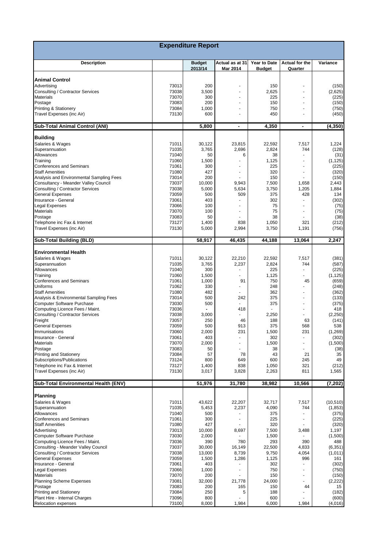| <b>Expenditure Report</b>                                   |                |                          |                             |                               |                                  |                  |  |  |  |
|-------------------------------------------------------------|----------------|--------------------------|-----------------------------|-------------------------------|----------------------------------|------------------|--|--|--|
| <b>Description</b>                                          |                | <b>Budget</b><br>2013/14 | Actual as at 31<br>Mar 2014 | Year to Date<br><b>Budget</b> | <b>Actual for the</b><br>Quarter | Variance         |  |  |  |
|                                                             |                |                          |                             |                               |                                  |                  |  |  |  |
| <b>Animal Control</b><br>Advertising                        | 73013          | 200                      |                             | 150                           |                                  |                  |  |  |  |
| Consulting / Contractor Services                            | 73038          | 3,500                    |                             | 2,625                         | $\overline{a}$                   | (150)<br>(2,625) |  |  |  |
| <b>Materials</b>                                            | 73070          | 300                      |                             | 225                           | $\overline{a}$                   | (225)            |  |  |  |
| Postage                                                     | 73083          | 200                      |                             | 150                           |                                  | (150)            |  |  |  |
| <b>Printing &amp; Stationery</b>                            | 73084          | 1,000                    |                             | 750                           |                                  | (750)            |  |  |  |
| Travel Expenses (inc Air)                                   | 73130          | 600                      |                             | 450                           |                                  | (450)            |  |  |  |
| <b>Sub-Total Animal Control (ANI)</b>                       |                | 5,800                    | $\blacksquare$              | 4,350                         | $\blacksquare$                   | (4, 350)         |  |  |  |
| <b>Building</b>                                             |                |                          |                             |                               |                                  |                  |  |  |  |
| Salaries & Wages                                            | 71011          | 30,122                   | 23,815                      | 22,592                        | 7,517                            | 1,224            |  |  |  |
| Superannuation                                              | 71035          | 3,765                    | 2,696                       | 2,824                         | 744                              | (128)            |  |  |  |
| Allowances                                                  | 71040          | 50                       | 6                           | 38                            |                                  | (31)             |  |  |  |
| Training                                                    | 71060          | 1,500                    |                             | 1,125                         | ä,                               | (1, 125)         |  |  |  |
| <b>Conferences and Seminars</b><br><b>Staff Amenities</b>   | 71061<br>71080 | 300<br>427               |                             | 225<br>320                    |                                  | (225)<br>(320)   |  |  |  |
| Analysis and Environmental Sampling Fees                    | 73014          | 200                      |                             | 150                           |                                  | (150)            |  |  |  |
| Consultancy - Meander Valley Council                        | 73037          | 10,000                   | 9,943                       | 7,500                         | 1,658                            | 2,443            |  |  |  |
| Consulting / Contractor Services                            | 73038          | 5,000                    | 5,634                       | 3,750                         | 1,205                            | 1,884            |  |  |  |
| <b>General Expenses</b>                                     | 73059          | 500                      | 509                         | 375                           | 428                              | 134              |  |  |  |
| Insurance - General                                         | 73061          | 403                      |                             | 302                           |                                  | (302)            |  |  |  |
| <b>Legal Expenses</b>                                       | 73066          | 100                      |                             | 75                            |                                  | (75)             |  |  |  |
| <b>Materials</b>                                            | 73070          | 100                      |                             | 75                            |                                  | (75)             |  |  |  |
| Postage                                                     | 73083          | 50                       |                             | 38                            |                                  | (38)             |  |  |  |
| Telephone inc Fax & Internet                                | 73127          | 1,400                    | 838                         | 1,050                         | 321                              | (212)            |  |  |  |
| Travel Expenses (inc Air)                                   | 73130          | 5,000                    | 2,994                       | 3,750                         | 1,191                            | (756)            |  |  |  |
| <b>Sub-Total Building (BLD)</b>                             |                | 58,917                   | 46,435                      | 44,188                        | 13,064                           | 2,247            |  |  |  |
| <b>Environmental Health</b>                                 |                |                          |                             |                               |                                  |                  |  |  |  |
|                                                             | 71011          | 30,122                   | 22,210                      | 22,592                        | 7,517                            |                  |  |  |  |
| Salaries & Wages<br>Superannuation                          | 71035          | 3,765                    | 2,237                       | 2,824                         | 744                              | (381)<br>(587)   |  |  |  |
| Allowances                                                  | 71040          | 300                      |                             | 225                           |                                  | (225)            |  |  |  |
| Training                                                    | 71060          | 1,500                    |                             | 1,125                         |                                  | (1, 125)         |  |  |  |
| <b>Conferences and Seminars</b>                             | 71061          | 1,000                    | 91                          | 750                           | 45                               | (659)            |  |  |  |
| Uniforms                                                    | 71062          | 330                      |                             | 248                           |                                  | (248)            |  |  |  |
| <b>Staff Amenities</b>                                      | 71080          | 482                      |                             | 362                           |                                  | (362)            |  |  |  |
| Analysis & Environmental Sampling Fees                      | 73014          | 500                      | 242                         | 375                           |                                  | (133)            |  |  |  |
| <b>Computer Software Purchase</b>                           | 73030          | 500                      |                             | 375                           |                                  | (375)            |  |  |  |
| Computing Licence Fees / Maint.                             | 73036          |                          | 418                         |                               |                                  | 418              |  |  |  |
| Consulting / Contractor Services                            | 73038          | 3,000                    |                             | 2,250                         | ÷.                               | (2,250)          |  |  |  |
| Freight                                                     | 73057          | 250                      | 46                          | 188                           | 63                               | (141)            |  |  |  |
| <b>General Expenses</b>                                     | 73059          | 500                      | 913                         | 375                           | 568                              | 538              |  |  |  |
| Immunisations                                               | 73060          | 2,000                    | 231                         | 1,500                         | 231                              | (1, 269)         |  |  |  |
| Insurance - General                                         | 73061          | 403                      | $\overline{a}$              | 302                           | ٠                                | (302)            |  |  |  |
| <b>Materials</b><br>Postage                                 | 73070<br>73083 | 2,000                    | $\overline{\phantom{a}}$    | 1,500<br>38                   | ٠                                | (1,500)          |  |  |  |
| <b>Printing and Stationery</b>                              | 73084          | 50<br>57                 | 78                          | 43                            | 21                               | (38)<br>35       |  |  |  |
| Subscriptions/Publications                                  | 73124          | 800                      | 649                         | 600                           | 245                              | 49               |  |  |  |
| Telephone inc Fax & Internet                                | 73127          | 1,400                    | 838                         | 1,050                         | 321                              | (212)            |  |  |  |
| Travel Expenses (inc Air)                                   | 73130          | 3,017                    | 3,828                       | 2,263                         | 811                              | 1,565            |  |  |  |
| Sub-Total Environmental Health (ENV)                        |                | 51,976                   | 31,780                      | 38,982                        | 10,566                           | (7, 202)         |  |  |  |
| Planning                                                    |                |                          |                             |                               |                                  |                  |  |  |  |
|                                                             | 71011          |                          |                             |                               |                                  | (10, 510)        |  |  |  |
| Salaries & Wages<br>Superannuation                          | 71035          | 43,622<br>5,453          | 22,207<br>2,237             | 32,717<br>4,090               | 7,517<br>744                     | (1, 853)         |  |  |  |
| Allowances                                                  | 71040          | 500                      |                             | 375                           |                                  | (375)            |  |  |  |
| <b>Conferences and Seminars</b>                             | 71061          | 300                      |                             | 225                           |                                  | (225)            |  |  |  |
| <b>Staff Amenities</b>                                      | 71080          | 427                      |                             | 320                           |                                  | (320)            |  |  |  |
| Advertising                                                 | 73013          | 10,000                   | 8,697                       | 7,500                         | 3,488                            | 1,197            |  |  |  |
| <b>Computer Software Purchase</b>                           | 73030          | 2,000                    |                             | 1,500                         |                                  | (1,500)          |  |  |  |
| Computing Licence Fees / Maint.                             | 73036          | 390                      | 780                         | 293                           | 390                              | 488              |  |  |  |
| Consulting - Meander Valley Council                         | 73037          | 30,000                   | 16,149                      | 22,500                        | 4,833                            | (6, 351)         |  |  |  |
| Consulting / Contractor Services                            | 73038          | 13,000                   | 8,739                       | 9,750                         | 4,054                            | (1,011)          |  |  |  |
| <b>General Expenses</b>                                     | 73059          | 1,500                    | 1,286                       | 1,125                         | 996                              | 161              |  |  |  |
| Insurance - General                                         | 73061          | 403                      |                             | 302                           |                                  | (302)            |  |  |  |
| <b>Legal Expenses</b>                                       | 73066          | 1,000                    |                             | 750                           |                                  | (750)            |  |  |  |
| <b>Materials</b>                                            | 73070          | 200                      |                             | 150                           |                                  | (150)            |  |  |  |
| Planning Scheme Expenses                                    | 73081          | 32,000                   | 21,778                      | 24,000                        |                                  | (2, 222)         |  |  |  |
| Postage                                                     | 73083          | 200                      | 165                         | 150                           | 44                               | 15               |  |  |  |
| <b>Printing and Stationery</b>                              | 73084          | 250                      | 5                           | 188                           |                                  | (182)            |  |  |  |
| Plant Hire - Internal Charges<br><b>Relocation expenses</b> | 73096<br>73100 | 800<br>8,000             | 1,984                       | 600<br>6,000                  | 1,984                            | (600)<br>(4,016) |  |  |  |
|                                                             |                |                          |                             |                               |                                  |                  |  |  |  |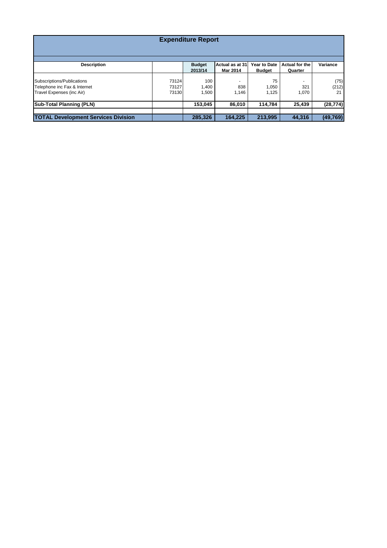| <b>Expenditure Report</b>                                                               |                         |                          |                             |                               |                           |                     |  |  |  |  |
|-----------------------------------------------------------------------------------------|-------------------------|--------------------------|-----------------------------|-------------------------------|---------------------------|---------------------|--|--|--|--|
| <b>Description</b>                                                                      |                         | <b>Budget</b><br>2013/14 | Actual as at 31<br>Mar 2014 | Year to Date<br><b>Budget</b> | Actual for the<br>Quarter | Variance            |  |  |  |  |
| Subscriptions/Publications<br>Telephone inc Fax & Internet<br>Travel Expenses (inc Air) | 73124<br>73127<br>73130 | 100<br>1.400<br>1,500    | 838<br>1,146                | 75<br>1,050<br>1,125          | 321<br>1,070              | (75)<br>(212)<br>21 |  |  |  |  |
| <b>Sub-Total Planning (PLN)</b>                                                         |                         | 153,045                  | 86,010                      | 114.784                       | 25,439                    | (28, 774)           |  |  |  |  |
| <b>TOTAL Development Services Division</b>                                              |                         | 285,326                  | 164,225                     | 213.995                       | 44,316                    | (49, 769)           |  |  |  |  |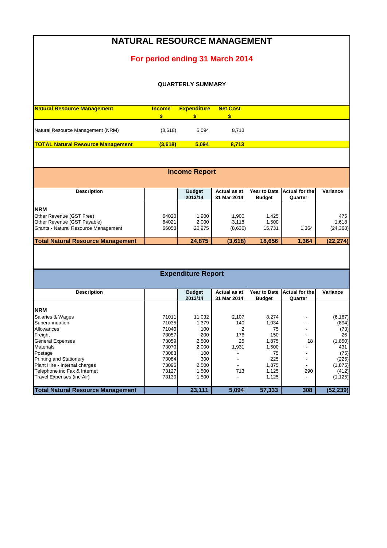### **NATURAL RESOURCE MANAGEMENT**

### **For period ending 31 March 2014**

#### **QUARTERLY SUMMARY**

| <b>Natural Resource Management</b>       | <b>Income</b> | <b>Expenditure</b> | <b>Net Cost</b> |
|------------------------------------------|---------------|--------------------|-----------------|
|                                          |               |                    |                 |
| Natural Resource Management (NRM)        | (3.618)       | 5.094              | 8.713           |
| <b>TOTAL Natural Resource Management</b> | (3.618)       | 5.094              | 8.713           |

| <b>Income Report</b>                     |       |                          |                             |                                      |                           |           |  |  |  |  |  |
|------------------------------------------|-------|--------------------------|-----------------------------|--------------------------------------|---------------------------|-----------|--|--|--|--|--|
| <b>Description</b>                       |       | <b>Budget</b><br>2013/14 | Actual as at<br>31 Mar 2014 | <b>Year to Date</b><br><b>Budget</b> | Actual for the<br>Quarter | Variance  |  |  |  |  |  |
| <b>NRM</b>                               |       |                          |                             |                                      |                           |           |  |  |  |  |  |
| Other Revenue (GST Free)                 | 64020 | 1.900                    | 1,900                       | 1,425                                |                           | 475       |  |  |  |  |  |
| Other Revenue (GST Payable)              | 64021 | 2.000                    | 3.118                       | 1.500                                |                           | 1.618     |  |  |  |  |  |
| Grants - Natural Resource Management     | 66058 | 20.975                   | (8,636)                     | 15.731                               | 1.364                     | (24, 368) |  |  |  |  |  |
| <b>Total Natural Resource Management</b> |       | 24.875                   | (3,618)                     | 18,656                               | 1.364                     | (22, 274) |  |  |  |  |  |

#### **Expenditure Report**

| <b>Description</b>                       |       | <b>Budget</b> | Actual as at             | <b>Year to Date</b> | Actual for the           | Variance  |
|------------------------------------------|-------|---------------|--------------------------|---------------------|--------------------------|-----------|
|                                          |       | 2013/14       | 31 Mar 2014              | <b>Budget</b>       | Quarter                  |           |
|                                          |       |               |                          |                     |                          |           |
| <b>NRM</b>                               |       |               |                          |                     |                          |           |
| Salaries & Wages                         | 71011 | 11,032        | 2,107                    | 8,274               |                          | (6, 167)  |
| Superannuation                           | 71035 | 1,379         | 140                      | 1,034               | $\overline{\phantom{a}}$ | (894)     |
| Allowances                               | 71040 | 100           |                          | 75                  | $\overline{\phantom{a}}$ | (73)      |
| Freight                                  | 73057 | 200           | 176                      | 150                 | -                        | 26        |
| <b>General Expenses</b>                  | 73059 | 2,500         | 25                       | 1.875               | 18                       | (1, 850)  |
| <b>Materials</b>                         | 73070 | 2,000         | 1,931                    | 1,500               |                          | 431       |
| Postage                                  | 73083 | 100           |                          | 75                  | $\overline{\phantom{a}}$ | (75)      |
| <b>Printing and Stationery</b>           | 73084 | 300           | $\overline{\phantom{a}}$ | 225                 | $\overline{\phantom{a}}$ | (225)     |
| Plant Hire - Internal charges            | 73096 | 2,500         |                          | 1,875               | $\overline{\phantom{a}}$ | (1, 875)  |
| Telephone inc Fax & Internet             | 73127 | 1,500         | 713                      | 1,125               | 290                      | (412)     |
| Travel Expenses (inc Air)                | 73130 | 1,500         |                          | 1,125               |                          | (1, 125)  |
|                                          |       |               |                          |                     |                          |           |
| <b>Total Natural Resource Management</b> |       | 23,111        | 5,094                    | 57.333              | 308                      | (52, 239) |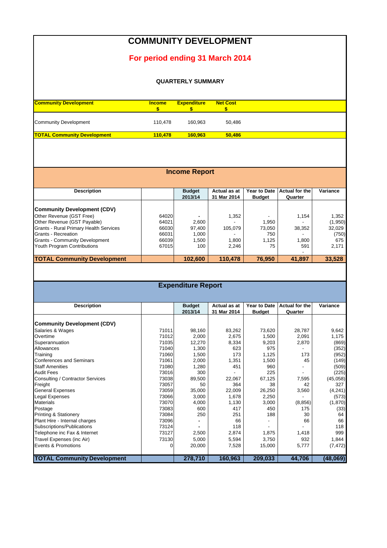### **COMMUNITY DEVELOPMENT**

### **For period ending 31 March 2014**

#### **QUARTERLY SUMMARY**

| <b>Community Development</b>       | <b>Income</b> | <b>Expenditure</b> | <b>Net Cost</b> |
|------------------------------------|---------------|--------------------|-----------------|
| <b>Community Development</b>       | 110.478       | 160.963            | 50.486          |
| <b>TOTAL Community Development</b> | 110.478       | 160.963            | 50.486          |

| <b>Income Report</b>                          |       |                          |                             |                                      |                           |          |  |  |  |  |
|-----------------------------------------------|-------|--------------------------|-----------------------------|--------------------------------------|---------------------------|----------|--|--|--|--|
| <b>Description</b>                            |       | <b>Budget</b><br>2013/14 | Actual as at<br>31 Mar 2014 | <b>Year to Date</b><br><b>Budget</b> | Actual for the<br>Quarter | Variance |  |  |  |  |
| <b>Community Development (CDV)</b>            |       |                          |                             |                                      |                           |          |  |  |  |  |
| Other Revenue (GST Free)                      | 64020 |                          | 1,352                       |                                      | 1,154                     | 1,352    |  |  |  |  |
| Other Revenue (GST Payable)                   | 64021 | 2,600                    |                             | 1.950                                |                           | (1,950)  |  |  |  |  |
| <b>Grants - Rural Primary Health Services</b> | 66030 | 97,400                   | 105.079                     | 73,050                               | 38,352                    | 32,029   |  |  |  |  |
| Grants - Recreation                           | 66031 | 1.000                    |                             | 750                                  |                           | (750)    |  |  |  |  |
| <b>Grants - Community Development</b>         | 66039 | 1,500                    | 1.800                       | 1,125                                | 1,800                     | 675      |  |  |  |  |
| Youth Program Contributions                   | 67015 | 100                      | 2,246                       | 75                                   | 591                       | 2,171    |  |  |  |  |
| <b>TOTAL Community Development</b>            |       | 102,600                  | 110.478                     | 76.950                               | 41,897                    | 33,528   |  |  |  |  |

### **Expenditure Report**

| <b>Description</b>                 |       | <b>Budget</b> | Actual as at | Year to Date  | <b>Actual for the</b> | Variance |
|------------------------------------|-------|---------------|--------------|---------------|-----------------------|----------|
|                                    |       | 2013/14       | 31 Mar 2014  | <b>Budget</b> | Quarter               |          |
|                                    |       |               |              |               |                       |          |
| <b>Community Development (CDV)</b> |       |               |              |               |                       |          |
| Salaries & Wages                   | 71011 | 98,160        | 83,262       | 73,620        | 28,787                | 9,642    |
| Overtime                           | 71012 | 2,000         | 2,675        | 1,500         | 2,091                 | 1,175    |
| Superannuation                     | 71035 | 12,270        | 8,334        | 9,203         | 2,870                 | (869)    |
| Allowances                         | 71040 | 1,300         | 623          | 975           |                       | (352)    |
| Training                           | 71060 | 1,500         | 173          | 1,125         | 173                   | (952)    |
| <b>Conferences and Seminars</b>    | 71061 | 2,000         | 1,351        | 1,500         | 45                    | (149)    |
| <b>Staff Amenities</b>             | 71080 | 1,280         | 451          | 960           |                       | (509)    |
| <b>Audit Fees</b>                  | 73016 | 300           |              | 225           |                       | (225)    |
| Consulting / Contractor Services   | 73038 | 89,500        | 22,067       | 67,125        | 7,595                 | (45,058) |
| Freight                            | 73057 | 50            | 364          | 38            | 42                    | 327      |
| <b>General Expenses</b>            | 73059 | 35,000        | 22,009       | 26,250        | 3,560                 | (4,241)  |
| Legal Expenses                     | 73066 | 3,000         | 1,678        | 2,250         |                       | (573)    |
| <b>Materials</b>                   | 73070 | 4,000         | 1,130        | 3,000         | (8, 856)              | (1,870)  |
| Postage                            | 73083 | 600           | 417          | 450           | 175                   | (33)     |
| <b>Printing &amp; Stationery</b>   | 73084 | 250           | 251          | 188           | 30                    | 64       |
| Plant Hire - Internal charges      | 73096 |               | 66           |               | 66                    | 66       |
| Subscriptions/Publications         | 73124 |               | 118          |               |                       | 118      |
| Telephone inc Fax & Internet       | 73127 | 2,500         | 2,874        | 1,875         | 1,418                 | 999      |
| Travel Expenses (inc Air)          | 73130 | 5,000         | 5,594        | 3,750         | 932                   | 1,844    |
| Events & Promotions                | 0     | 20,000        | 7,528        | 15,000        | 5,777                 | (7, 472) |
|                                    |       |               |              |               |                       |          |
| <b>TOTAL Community Development</b> |       | 278,710       | 160,963      | 209,033       | 44,706                | (48,069) |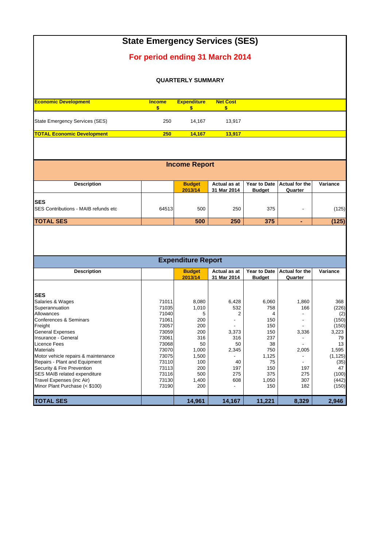|                                                    |                     |                          | <b>State Emergency Services (SES)</b> |                                      |                                  |          |
|----------------------------------------------------|---------------------|--------------------------|---------------------------------------|--------------------------------------|----------------------------------|----------|
|                                                    |                     |                          | For period ending 31 March 2014       |                                      |                                  |          |
|                                                    |                     | <b>QUARTERLY SUMMARY</b> |                                       |                                      |                                  |          |
| <b>Economic Development</b>                        | <b>Income</b><br>\$ | <b>Expenditure</b><br>S. | <b>Net Cost</b><br>\$                 |                                      |                                  |          |
| State Emergency Services (SES)                     | 250                 | 14,167                   | 13,917                                |                                      |                                  |          |
| <b>TOTAL Economic Development</b>                  | 250                 | 14,167                   | 13,917                                |                                      |                                  |          |
|                                                    |                     |                          |                                       |                                      |                                  |          |
|                                                    |                     | <b>Income Report</b>     |                                       |                                      |                                  |          |
| <b>Description</b>                                 |                     | <b>Budget</b><br>2013/14 | Actual as at<br>31 Mar 2014           | <b>Year to Date</b><br><b>Budget</b> | <b>Actual for the</b><br>Quarter | Variance |
| <b>SES</b><br>SES Contributions - MAIB refunds etc | 64513               | 500                      | 250                                   | 375                                  |                                  | (125)    |

**TOTAL SES 500 250 375 - (125)**

| <b>Expenditure Report</b>           |       |               |              |               |                       |          |
|-------------------------------------|-------|---------------|--------------|---------------|-----------------------|----------|
| <b>Description</b>                  |       | <b>Budget</b> | Actual as at | Year to Date  | <b>Actual for the</b> | Variance |
|                                     |       | 2013/14       | 31 Mar 2014  | <b>Budget</b> | Quarter               |          |
|                                     |       |               |              |               |                       |          |
| <b>SES</b>                          |       |               |              |               |                       |          |
| Salaries & Wages                    | 71011 | 8,080         | 6,428        | 6,060         | 1,860                 | 368      |
| Superannuation                      | 71035 | 1,010         | 532          | 758           | 166                   | (226)    |
| Allowances                          | 71040 |               |              | 4             |                       | (2)      |
| Conferences & Seminars              | 71061 | 200           |              | 150           |                       | (150)    |
| Freight                             | 73057 | 200           |              | 150           |                       | (150)    |
| <b>General Expenses</b>             | 73059 | 200           | 3,373        | 150           | 3,336                 | 3,223    |
| Insurance - General                 | 73061 | 316           | 316          | 237           |                       | 79       |
| Licence Fees                        | 73068 | 50            | 50           | 38            |                       | 13       |
| <b>Materials</b>                    | 73070 | 1,000         | 2,345        | 750           | 2,005                 | 1,595    |
| Motor vehicle repairs & maintenance | 73075 | 1,500         |              | 1,125         |                       | (1, 125) |
| Repairs - Plant and Equipment       | 73110 | 100           | 40           | 75            |                       | (35)     |
| Security & Fire Prevention          | 73113 | 200           | 197          | 150           | 197                   | 47       |
| SES MAIB related expenditure        | 73116 | 500           | 275          | 375           | 275                   | (100)    |
| Travel Expenses (inc Air)           | 73130 | 1,400         | 608          | 1,050         | 307                   | (442)    |
| Minor Plant Purchase (< \$100)      | 73190 | 200           |              | 150           | 182                   | (150)    |
| <b>TOTAL SES</b>                    |       | 14,961        | 14,167       | 11,221        | 8,329                 | 2,946    |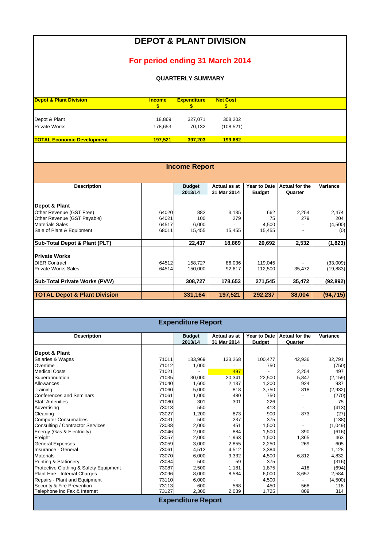# **DEPOT & PLANT DIVISION**

### **For period ending 31 March 2014**

#### **QUARTERLY SUMMARY**

| <b>Depot &amp; Plant Division</b> | <b>Income</b>  | <b>Expenditure</b> | <b>Net Cost</b> |
|-----------------------------------|----------------|--------------------|-----------------|
|                                   |                |                    |                 |
|                                   |                |                    |                 |
| Depot & Plant                     | 18.869         | 327.071            | 308,202         |
| <b>Private Works</b>              | 178.653        | 70.132             | (108.521)       |
| <b>TOTAL Economic Development</b> | <b>197.521</b> | 397.203            | 199.682         |

| <b>Income Report</b>                    |       |                          |                             |                               |                                  |           |
|-----------------------------------------|-------|--------------------------|-----------------------------|-------------------------------|----------------------------------|-----------|
|                                         |       |                          |                             |                               |                                  |           |
| <b>Description</b>                      |       | <b>Budget</b><br>2013/14 | Actual as at<br>31 Mar 2014 | Year to Date<br><b>Budget</b> | <b>Actual for the</b><br>Quarter | Variance  |
| Depot & Plant                           |       |                          |                             |                               |                                  |           |
| Other Revenue (GST Free)                | 64020 | 882                      | 3,135                       | 662                           | 2,254                            | 2,474     |
| Other Revenue (GST Payable)             | 64021 | 100                      | 279                         | 75                            | 279                              | 204       |
| <b>Materials Sales</b>                  | 64517 | 6,000                    |                             | 4,500                         |                                  | (4,500)   |
| Sale of Plant & Equipment               | 68011 | 15,455                   | 15,455                      | 15,455                        |                                  | (0)       |
| Sub-Total Depot & Plant (PLT)           |       | 22,437                   | 18,869                      | 20,692                        | 2,532                            | (1,823)   |
| <b>Private Works</b>                    |       |                          |                             |                               |                                  |           |
| <b>DIER Contract</b>                    | 64512 | 158,727                  | 86,036                      | 119,045                       |                                  | (33,009)  |
| <b>Private Works Sales</b>              | 64514 | 150,000                  | 92,617                      | 112,500                       | 35,472                           | (19, 883) |
| <b>Sub-Total Private Works (PVW)</b>    |       | 308,727                  | 178,653                     | 271,545                       | 35,472                           | (92, 892) |
| <b>TOTAL Depot &amp; Plant Division</b> |       | 331,164                  | 197,521                     | 292,237                       | 38,004                           | (94, 715) |

| <b>Expenditure Report</b>              |       |                          |                             |                               |                                  |          |  |
|----------------------------------------|-------|--------------------------|-----------------------------|-------------------------------|----------------------------------|----------|--|
| <b>Description</b>                     |       | <b>Budget</b><br>2013/14 | Actual as at<br>31 Mar 2014 | Year to Date<br><b>Budget</b> | <b>Actual for the</b><br>Quarter | Variance |  |
| Depot & Plant                          |       |                          |                             |                               |                                  |          |  |
| Salaries & Wages                       | 71011 | 133,969                  | 133,268                     | 100,477                       | 42,936                           | 32,791   |  |
| Overtime                               | 71012 | 1,000                    |                             | 750                           |                                  | (750)    |  |
| <b>Medical Costs</b>                   | 71021 |                          | 497                         |                               | 2,254                            | 497      |  |
| Superannuation                         | 71035 | 30,000                   | 20,341                      | 22,500                        | 5,847                            | (2, 159) |  |
| Allowances                             | 71040 | 1,600                    | 2,137                       | 1,200                         | 924                              | 937      |  |
| Training                               | 71060 | 5,000                    | 818                         | 3,750                         | 818                              | (2,932)  |  |
| <b>Conferences and Seminars</b>        | 71061 | 1,000                    | 480                         | 750                           |                                  | (270)    |  |
| <b>Staff Amenities</b>                 | 71080 | 301                      | 301                         | 226                           |                                  | 75       |  |
| Advertising                            | 73013 | 550                      |                             | 413                           |                                  | (413)    |  |
| Cleaning                               | 73027 | 1,200                    | 873                         | 900                           | 873                              | (27)     |  |
| <b>Computer Consumables</b>            | 73031 | 500                      | 237                         | 375                           |                                  | (138)    |  |
| Consulting / Contractor Services       | 73038 | 2,000                    | 451                         | 1,500                         |                                  | (1,049)  |  |
| Energy (Gas & Electricity)             | 73046 | 2,000                    | 884                         | 1,500                         | 390                              | (616)    |  |
| Freight                                | 73057 | 2,000                    | 1,963                       | 1,500                         | 1,365                            | 463      |  |
| <b>General Expenses</b>                | 73059 | 3,000                    | 2,855                       | 2,250                         | 269                              | 605      |  |
| Insurance - General                    | 73061 | 4,512                    | 4,512                       | 3,384                         |                                  | 1,128    |  |
| <b>Materials</b>                       | 73070 | 6,000                    | 9,332                       | 4,500                         | 6,812                            | 4,832    |  |
| <b>Printing &amp; Stationery</b>       | 73084 | 500                      | 59                          | 375                           |                                  | (316)    |  |
| Protective Clothing & Safety Equipment | 73087 | 2,500                    | 1,181                       | 1,875                         | 418                              | (694)    |  |
| Plant Hire - Internal Charges          | 73096 | 8,000                    | 8,584                       | 6,000                         | 3,657                            | 2,584    |  |
| Repairs - Plant and Equipment          | 73110 | 6.000                    |                             | 4,500                         |                                  | (4,500)  |  |
| Security & Fire Prevention             | 73113 | 600                      | 568                         | 450                           | 568                              | 118      |  |
| Telephone inc Fax & Internet           | 73127 | 2,300                    | 2,039                       | 1,725                         | 809                              | 314      |  |
| <b>Expenditure Report</b>              |       |                          |                             |                               |                                  |          |  |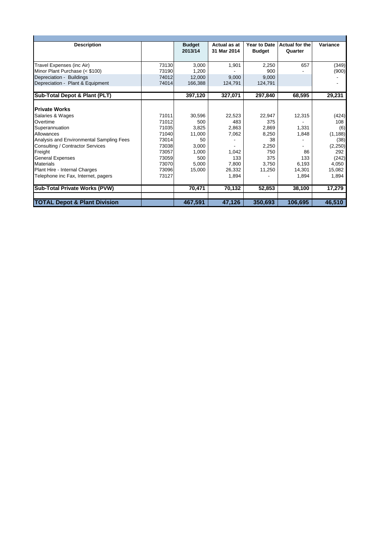| <b>Description</b>                       |       | <b>Budget</b> | Actual as at | <b>Year to Date</b> | <b>Actual for the</b> | Variance |
|------------------------------------------|-------|---------------|--------------|---------------------|-----------------------|----------|
|                                          |       | 2013/14       | 31 Mar 2014  | <b>Budget</b>       | Quarter               |          |
|                                          |       |               |              |                     |                       |          |
| Travel Expenses (inc Air)                | 73130 | 3.000         | 1,901        | 2,250               | 657                   | (349)    |
| Minor Plant Purchase (< \$100)           | 73190 | 1.200         |              | 900                 |                       | (900)    |
| Depreciation - Buildings                 | 74012 | 12,000        | 9.000        | 9.000               |                       |          |
| Depreciation - Plant & Equipment         | 74014 | 166,388       | 124.791      | 124,791             |                       |          |
|                                          |       |               |              |                     |                       |          |
| Sub-Total Depot & Plant (PLT)            |       | 397,120       | 327,071      | 297,840             | 68,595                | 29,231   |
|                                          |       |               |              |                     |                       |          |
| <b>IPrivate Works</b>                    |       |               |              |                     |                       |          |
| Salaries & Wages                         | 71011 | 30,596        | 22,523       | 22,947              | 12,315                | (424)    |
| Overtime                                 | 71012 | 500           | 483          | 375                 |                       | 108      |
| Superannuation                           | 71035 | 3.825         | 2,863        | 2.869               | 1.331                 | (6)      |
| Allowances                               | 71040 | 11,000        | 7,062        | 8,250               | 1,848                 | (1, 188) |
| Analysis and Environmental Sampling Fees | 73014 | 50            |              | 38                  |                       | (38)     |
| Consulting / Contractor Services         | 73038 | 3,000         |              | 2,250               |                       | (2, 250) |
| Freight                                  | 73057 | 1.000         | 1.042        | 750                 | 86                    | 292      |
| <b>General Expenses</b>                  | 73059 | 500           | 133          | 375                 | 133                   | (242)    |
| <b>Materials</b>                         | 73070 | 5.000         | 7.800        | 3.750               | 6.193                 | 4.050    |
| Plant Hire - Internal Charges            | 73096 | 15,000        | 26,332       | 11,250              | 14,301                | 15,082   |
| Telephone inc Fax, Internet, pagers      | 73127 |               | 1,894        |                     | 1,894                 | 1,894    |
| Sub-Total Private Works (PVW)            |       | 70,471        | 70,132       | 52,853              | 38,100                | 17,279   |
|                                          |       |               |              |                     |                       |          |
| <b>TOTAL Depot &amp; Plant Division</b>  |       | 467,591       | 47,126       | 350,693             | 106,695               | 46,510   |